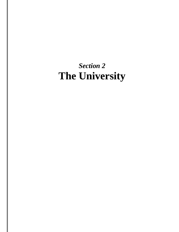# *Section 2* **The University**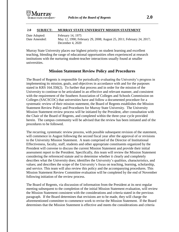## **2.0 SUBJECT: MURRAY STATE UNIVERSITY MISSION STATEMENT**

Date Adopted: February 14, 1975 Date Amended: May 12, 1990; February 29, 2008; August 25, 2011; February 24, 2017; December 4, 2020

Murray State University places our highest priority on student learning and excellent teaching, blending the range of educational opportunities often experienced at research institutions with the nurturing student-teacher interactions usually found at smaller universities.

## **Mission Statement Review Policy and Procedures**

The Board of Regents is responsible for periodically evaluating the University's progress in implementing its mission, goals, and objectives in accordance with and for the purposes stated in KRS 164.350(2). To further that process and in order for the mission of the University to continue to be articulated in an effective and relevant manner, and consistent with the requirement of the Southern Association of Colleges and Schools Commission on Colleges (SACSCOC) that universities have and follow a documented procedure for a systematic review of their mission statement, the Board of Regents establishes the Mission Statement Review Policy and Procedures for Murray State University. The University Mission Statement review process will be initiated by the President, after consultation with the Chair of the Board of Regents, and completed within the three-year cycle provided herein. The campus community will be advised that the review has been initiated and of the procedures to be followed.

The recurring, systematic review process, with possible subsequent revision of the statement, will commence in August following the second fiscal year after the approval of or revisions to the University Mission Statement. A team comprised of the Director of Institutional Effectiveness, faculty, staff, students and other appropriate constituents organized by the President will convene to discuss the current Mission Statement and provide their initial assessment report to the President. Specifically, this team will review the Mission Statement considering the referenced statute and to determine whether it clearly and completely describes what the University does; identifies the University's qualities, characteristics, and values; and describes the scope of the University's focus on teaching, learning, scholarship, and service. This team will also review this policy and the accompanying procedures. This Mission Statement Review Committee evaluation will be completed by the end of November following initiation of the review process.

The Board of Regents, via discussion of information from the President at its next regular meeting subsequent to the completion of the initial Mission Statement evaluation, will review the Mission Statement consistent with the considerations and criteria stated in the previous paragraph. If the Board determines that revisions are to be made, they will charge the aforementioned committee to commence work to revise the Mission Statement. If the Board determines that the Mission Statement is effective and meets the considerations and criteria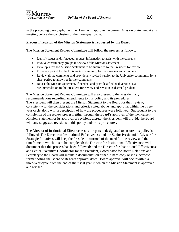in the preceding paragraph, then the Board will approve the current Mission Statement at any meeting before the conclusion of the three-year cycle.

## **Process if revision of the Mission Statement is requested by the Board:**

The Mission Statement Review Committee will follow the process as follows:

- Identify issues and, if needed, request information to assist with the concepts
- Involve constituency groups in review of the Mission Statement
- Develop a revised Mission Statement to be submitted to the President for review
- Provide a period for the University community for their review and comment
- Review all the comments and provide any revised version to the University community for a short period to allow for further comments
- Revise the Mission Statement, if needed, and provide a finalized version as a recommendation to the President for review and revision as deemed prudent

The Mission Statement Review Committee will also present to the President any recommendations regarding amendments to this policy and its procedures. The President will then present the Mission Statement to the Board for their review, consistent with the considerations and criteria stated above, and approval within the threeyear cycle along with a description of how the procedures were followed. Subsequent to the completion of the review process, either through the Board's approval of the then current Mission Statement or its approval of revisions thereto, the President will provide the Board with any suggested revisions to this policy and/or its procedures.

The Director of Institutional Effectiveness is the person designated to ensure this policy is followed. The Director of Institutional Effectiveness and the Senior Presidential Advisor for Strategic Initiatives will keep the President informed of the need for the review and the timeframe in which it is to be completed; the Director for Institutional Effectiveness will document that this process has been followed; and the Director for Institutional Effectiveness and Senior Executive Coordinator for the President, Coordinator for Board Relations and Secretary to the Board will maintain documentation either in hard copy or via electronic format noting the Board of Regents approval dates. Board approval will occur within a three-year cycle from the end of the fiscal year in which the Mission Statement is approved and revised.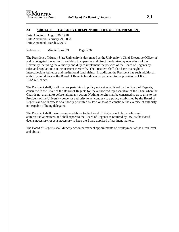#### **2.1 SUBJECT: EXECUTIVE RESPONSIBILITIES OF THE PRESIDENT**

Date Adopted: August 20, 1978 Date Amended: February 29, 2008 Date Amended: March 2, 2012

Reference: Minute Book: 21 Page: 226

The President of Murray State University is designated as the University's Chief Executive Officer of and is delegated the authority and duty to supervise and direct the day-to-day operations of the University including the authority and duty to implement the policies of the Board of Regents by rules and regulations not inconsistent therewith. The President shall also have oversight of Intercollegiate Athletics and institutional fundraising. In addition, the President has such additional authority and duties as the Board of Regents has delegated pursuant to the provisions of KRS 164A.550 et seq.

The President shall, in all matters pertaining to policy not yet established by the Board of Regents, consult with the Chair of the Board of Regents (or the authorized representative of the Chair when the Chair is not available) before taking any action. Nothing herein shall be construed so as to give to the President of the University power or authority to act contrary to a policy established by the Board of Regents and/or in excess of authority permitted by law, or so as to constitute the exercise of authority not capable of being delegated.

The President shall make recommendations to the Board of Regents as to both policy and administrative matters, and shall report to the Board of Regents as required by law, as the Board deems necessary, or as is necessary to keep the Board apprised of pertinent matters.

The Board of Regents shall directly act on permanent appointments of employment at the Dean level and above.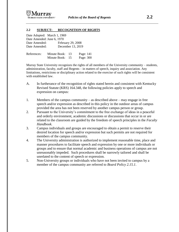

#### **2.2 SUBJECT: RECOGNITION OF RIGHTS**

| Date Adopted: March 1, 1969        |
|------------------------------------|
| Date Amended: June 6, 1970         |
| February 29, 2008<br>Date Amended: |
| December 13, 2019<br>Date Amended: |
|                                    |

| References: | Minute Book: 13 | Page: 141 |
|-------------|-----------------|-----------|
|             | Minute Book: 15 | Page: 300 |

Murray State University recognizes the rights of all members of the University community – students, administration, faculty, staff and Regents – in matters of speech, inquiry and association. Any limitations, restrictions or disciplinary action related to the exercise of such rights will be consistent with established law.

- A. In furtherance of the recognition of rights stated herein and consistent with Kentucky Revised Statute (KRS) 164.348, the following policies apply to speech and expression on campus:
- 1. Members of the campus community as described above may engage in free speech and/or expression as described in this policy in the outdoor areas of campus provided the area has not been reserved by another campus person or group.
- 2. Pursuant to the University's commitment to the free exchange of ideas in a peaceful and orderly environment, academic discussions or discussions that occur in or are related to the classroom are guided by the freedom of speech principles in the *Faculty Handbook*.
- 3. Campus individuals and groups are encouraged to obtain a permit to reserve their desired location for speech and/or expression but such permits are not required for members of the campus community.
- 4. The University administration is authorized to implement reasonable time, place and manner procedures to facilitate speech and expression by one or more individuals or groups and to ensure that normal academic and business operations of campus are not unreasonably impeded. Such procedures shall be narrowly tailored and shall be unrelated to the content of speech or expression.
- 5. Non-University groups or individuals who have not been invited to campus by a member of the campus community are referred to *Board Policy 2.15.1*.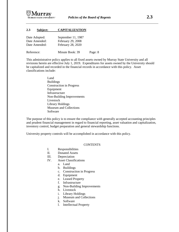

#### **2.3 Subject: CAPITALIZATION**

| Date Adopted: | September 11, 1987 |
|---------------|--------------------|
| Date Amended: | February 29, 2008  |
| Date Amended: | February 28, 2020  |

Reference: Minute Book: 39 Page: 8

This administrative policy applies to all fixed assets owned by Murray State University and all revisions herein are effective July 1, 2019. Expenditures for assets owned by the University should be capitalized and recorded in the financial records in accordance with this policy. Asset classifications include:

> Land Buildings Construction in Progress Equipment Infrastructure Non-Building Improvements Livestock Library Holdings Museum and Collections Software

The purpose of this policy is to ensure the compliance with generally accepted accounting principles and prudent financial management in regard to financial reporting, asset valuation and capitalization, inventory control, budget preparation and general stewardship functions.

University property controls will be accomplished in accordance with this policy.

#### **CONTENTS**

- I. Responsibilities
- II. Donated Assets
- III. Depreciation
- IV. Asset Classifications
	- a. Land
	- b. Buildings
	- c. Construction in Progress
	- d. Equipment
	- e. Leased Property
	- f. Infrastructure
	- g. Non-Building Improvements
	- h. Livestock
	- i. Library Holdings
	- j. Museum and Collections
	- k. Software
	- l. Intellectual Property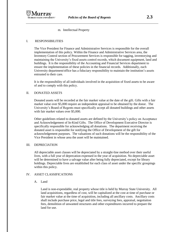m. Intellectual Property

#### I. RESPONSIBILITIES

The Vice President for Finance and Administrative Services is responsible for the overall implementation of this policy. Within the Finance and Administrative Services area, the Inventory Control section of Procurement Services is responsible for tagging, inventorying and maintaining the University's fixed assets control records, which document equipment, land and buildings. It is the responsibility of the Accounting and Financial Services department to ensure the implementation of these policies in the financial records. Additionally, each University department/office has a fiduciary responsibility to maintain the institution's assets entrusted to their care.

It is the responsibility of all individuals involved in the acquisition of fixed assets to be aware of and to comply with this policy.

#### II. DONATED ASSETS

Donated assets will be recorded at the fair market value at the date of the gift. Gifts with a fair market value over \$5,000 require an independent appraisal to be obtained by the donor. The University's Board of Regents must specifically accept all donated buildings and other assets with fair market values over \$5,000.

Other guidelines related to donated assets are defined by the University's policy on Acceptance and Acknowledgement of In-Kind Gifts. The Office of Development Executive Director is specifically responsible for acknowledging all donations. The department receiving the donated asset is responsible for notifying the Office of Development of the gift for acknowledgement purposes. The valuations of such donations will be the responsibility of the Vice President in whose area the asset will be maintained.

#### III. DEPRECIATION

All depreciable asset classes will be depreciated by a straight-line method over their useful lives, with a full year of deprecation expensed in the year of acquisition. No depreciable asset will be determined to have a salvage value after being fully depreciated, except for library holdings. Depreciable lives are established for each class of asset under the specific groupings within this policy.

#### IV. ASSET CLASSIFICATIONS

#### A. Land

Land is non-expendable, real property whose title is held by Murray State University. All land acquisitions, regardless of cost, will be capitalized at the cost at time of purchase or fair market value at the time of acquisition, including all ancillary costs. Ancillary costs shall include purchase price, legal and title fees, surveying fees, appraisal, negotiation fees, demolition of unwanted structures and other expenditures incurred to prepare the land for use.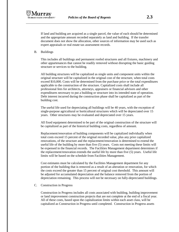If land and building are acquired as a single parcel, the value of each should be determined and the appropriate amount recorded separately as land and building. If the transfer document does not show the allocation, other sources of information may be used such as expert appraisals or real estate tax assessment records.

B. Buildings

This includes all buildings and permanent roofed structures and all fixtures, machinery and other appurtenances that cannot be readily removed without disrupting the basic guiding structure or services to the building.

All building structures will be capitalized as single units and component units within the original structure will be capitalized in the original cost of the structure, when total costs exceed \$10,000. Costs will be determined from the purchase price or the total expenditures applicable to the construction of the structure. Capitalized costs shall include all professional fees for architects, attorneys, appraisers or financial advisors and other expenditures necessary to put a building or structure into its intended state of operation. Debt interest incurred during the construction phase shall be capitalized as part of the building cost.

The useful life used for depreciating all buildings will be 40 years, with the exception of single-purpose agricultural or horticultural structures which will be depreciated over 15 years. Other structures may be evaluated and depreciated over 15 years.

All fixed equipment determined to be part of the original construction of the structure will be capitalized as part of the historical building costs, regardless of amount.

Replacement/renovation of building components will be capitalized individually when total costs exceed 15 percent of the original recorded value, plus any prior capitalized renovations, of the structure and the replacement/renovation is determined to extend the useful life of the building by more than five (5) years. Costs not meeting these limits will be expensed in the financial records. The Facilities Management department determines if the replacement/renovation extends the useful life by more than five (5) years. Useful life limits will be based on the schedule from Facilities Management.

Cost estimates must be calculated by the Facilities Management department for any portion of the building that is removed as a result of an alteration or renovation, for which the costs exceed the greater than 15 percent of original cost threshold. This amount will be adjusted for accumulated depreciation and the balance removed from the portion of depreciation remaining. This process will not be necessary on fully-depreciated buildings.

C. Construction in Progress

Construction in Progress includes all costs associated with building, building improvement or land improvement construction projects that are not complete at the end of a fiscal year. All of these costs, based upon the capitalization limits within each asset class, will be capitalized as Construction in Progress until completed. Construction in Progress assets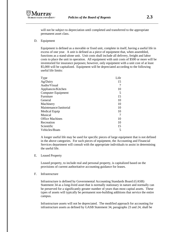will not be subject to depreciation until completed and transferred to the appropriate permanent asset class.

D. Equipment

Equipment is defined as a movable or fixed unit, complete in itself, having a useful life in excess of one year. A unit is defined as a piece of equipment that, when assembled, functions as a stand-alone unit. Unit costs shall include all delivery, freight and labor costs to place the unit in operation. All equipment with unit costs of \$500 or more will be inventoried for insurance purposes; however, only equipment with a unit cost of at least \$5,000 will be capitalized. Equipment will be depreciated according to the following useful life limits:

| Type                   | Life |
|------------------------|------|
| Ag/Dairy               | 15   |
| Audio/Visual           |      |
| Appliances/Kitchen     | 10   |
| Computer Equipment     | 5    |
| Furniture              | 15   |
| General                | 10   |
| Machinery              | 10   |
| Maintenance/Janitorial | 10   |
| Medical Equip          | 10   |
| Musical                |      |
| <b>Office Machines</b> | 10   |
| Recreation             | 10   |
| Scientific             | 15   |
| Vehicles/Boats         | 5    |

A longer useful life may be used for specific pieces of large equipment that is not defined in the above categories. For such pieces of equipment, the Accounting and Financial Services department will consult with the appropriate individuals to assist in determining the useful life.

E. Leased Property

Leased property, to include real and personal property, is capitalized based on the provisions of current authoritative accounting guidance for leases.

#### F. Infrastructure

Infrastructure is defined by Governmental Accounting Standards Board (GASB) Statement 34 as a long-lived asset that is normally stationary in nature and normally can be preserved for a significantly greater number of years than most capital assets. These types of assets will typically be permanent non-building additions that service the entire campus.

Infrastructure assets will not be depreciated. The modified approach for accounting for infrastructure assets as defined by GASB Statement 34, paragraphs 23 and 24, shall be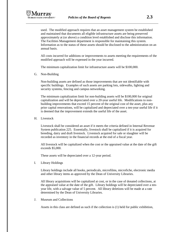

used. The modified approach requires that an asset management system be established and maintained that documents all eligible infrastructure assets are being preserved approximately at (or above) a condition level established and disclose this information. The Facilities Management department is responsible for maintaining this system. Information as to the status of these assets should be disclosed to the administration on an annual basis.

All costs incurred for additions or improvements to assets meeting the requirements of the modified approach will be expensed in the year incurred.

The minimum capitalization limit for infrastructure assets will be \$100,000.

G. Non-Building

Non-building assets are defined as those improvements that are not identifiable with specific buildings. Examples of such assets are parking lots, sidewalks, lighting and security systems, fencing and campus networking.

The minimum capitalization limit for non-building assets will be \$100,000 for original capitalization and will be depreciated over a 20-year useful life. Modifications to nonbuilding improvements that exceed 15 percent of the original cost of the asset, plus any prior capital renovations, will be capitalized and depreciated over a ten-year useful life if it is deemed that the improvement extends the useful life of the asset.

H. Livestock

Livestock shall be considered an asset if it meets the criteria defined in Internal Revenue System publication 225. Essentially, livestock shall be capitalized if it is acquired for breeding, dairy and draft livestock. Livestock acquired for sale or slaughter will be recorded as inventory in the financial records at the end of a fiscal year.

All livestock will be capitalized when the cost or the appraised value at the date of the gift exceeds \$5,000.

These assets will be depreciated over a 12-year period.

I. Library Holdings

Library holdings include all books, periodicals, microfilms, microfiche, electronic media and other library items as approved by the Dean of University Libraries.

All library acquisitions will be capitalized at cost, or in the case of donated collections, at the appraised value at the date of the gift. Library holdings will be depreciated over a tenyear life, with a salvage value of 5 percent. All library deletions will be made at a rate determined by the Dean of University Libraries.

J. Museum and Collections

Assets in this class are defined as such if the collection is (1) held for public exhibition,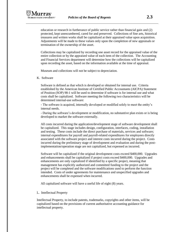

education or research in furtherance of public service rather than financial gain and (2) protected, kept unencumbered, cared for and preserved. Collections of fine arts, historical treasures and written works shall be capitalized at their appraised value upon acquisition. Adjustments will be made to these values only upon the completion of new appraisals or termination of the ownership of the asset.

Collections may be capitalized by recording one asset record for the appraised value of the entire collection or by the appraised value of each item of the collection. The Accounting and Financial Services department will determine how the collections will be capitalized upon recording the asset, based on the information available at the time of appraisal.

Museum and collections will not be subject to depreciation.

#### K. Software

Software is defined as that which is developed or obtained for internal use. Criteria established by the American Institute of Certified Public Accountants (AICPA) Statement of Position (SOP) 98-1 will be used to determine if software is for internal use and what costs shall be capitalized. Software meeting the following two characteristics will be determined internal-use software:

- The software is acquired, internally developed or modified solely to meet the entity's internal needs.

- During the software's development or modification, no substantive plan exists or is being developed to market the software externally.

All costs incurred during the application/development stage of software development shall be capitalized. This stage includes design, configuration, interfaces, coding, installation and testing. These costs include the direct purchase of materials, services and software; internal expenditures for payroll and payroll-related expenditures for employees directly associated with the software project and interest costs incurred during the project. Costs incurred during the preliminary stage of development and evaluation and during the postimplementation/operation stage are not capitalized, but expensed as incurred.

Software will be capitalized if the original development costs exceed \$400,000. Upgrades and enhancements shall be capitalized if project costs exceed \$400,000. Upgrades and enhancements are only capitalized if identified by a specific project, meaning that management has explicitly authorized and committed funding to the project and the project will be completed and the software modifications used to perform the function intended. Costs of under agreements for maintenance and unspecified upgrades and enhancements shall be expensed when incurred.

All capitalized software will have a useful life of eight (8) years.

L. Intellectual Property

Intellectual Property, to include patents, trademarks, copyrights and other items, will be capitalized based on the provisions of current authoritative accounting guidance for intellectual property.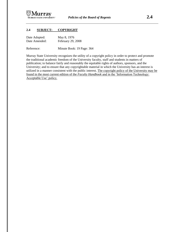

## **2.4 SUBJECT: COPYRIGHT**

| Date Adopted: | May 8, 1976       |
|---------------|-------------------|
| Date Amended: | February 29, 2008 |

Reference: Minute Book: 19 Page: 364

Murray State University recognizes the utility of a copyright policy in order to protect and promote the traditional academic freedom of the University faculty, staff and students in matters of publication; to balance fairly and reasonably the equitable rights of authors, sponsors, and the University; and to ensure that any copyrightable material in which the University has an interest is utilized in a manner consistent with the public interest. The copyright policy of the University may be found in the most current edition of the *Faculty Handbook* and in the 'Information Technology: Acceptable Use' policy*.*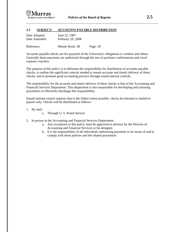#### **2.5 SUBJECT: ACCOUNTS PAYABLE DISTRIBUTION**

| Date Adopted: | June 22, 1987     |
|---------------|-------------------|
| Date Amended: | February 29, 2008 |

Reference: Minute Book: 38 Page: 18

Accounts payable checks are for payment of the University's obligations to vendors and others. Generally these payments are authorized through the use of purchase confirmations and travel expense vouchers.

The purpose of this policy is to delineate the responsibility for distribution of accounts payable checks, to outline the significant controls needed to ensure accurate and timely delivery of these checks, and to promote good accounting practice through sound internal controls.

The responsibility for the accurate and timely delivery of these checks is that of the Accounting and Financial Services Department. This department is also responsible for developing and initiating procedures to efficiently discharge this responsibility.

Sound internal control requires that to the fullest extent possible, checks be released or mailed to payees only. Checks will be distributed as follows:

- 1. By mail:
	- a. Through U. S. Postal Service
- 2. In person in the Accounting and Financial Services Department:
	- a. Any exceptions to this policy must be approved in advance by the Director of Accounting and Financial Services or his designee.
	- b. It is the responsibility of all individuals authorizing payments to be aware of and to comply with these policies and the related procedures.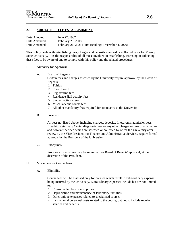

#### **2.6 SUBJECT: FEE ESTABLISHMENT**

| Date Adopted: | June 22, 1987                                       |
|---------------|-----------------------------------------------------|
| Date Amended: | February 29, 2008                                   |
| Date Amended: | February 26, 2021 (First Reading: December 4, 2020) |

This policy deals with establishing fees, charges and deposits assessed or collected by or for Murray State University. It is the responsibility of all those involved in establishing, assessing or collecting these fees to be aware of and to comply with this policy and the related procedures.

- **I.** Authority for Approval
	- A. Board of Regents

Certain fees and charges assessed by the University require approval by the Board of Regents:

- 1. Tuition
- 2. Room Board
- 3. Registration fees
- 4. Residence Hall activity fees
- 5. Student activity fees
- 6. Miscellaneous course fees
- 7. All other mandatory fees required for attendance at the University
- B. President

All fees not listed above, including charges, deposits, fines, rents, admission fees, Breathitt Veterinary Center diagnostic fees or any other charges or fees of any nature and however defined which are assessed or collected by or for the University after review by the Vice President for Finance and Administrative Services, require formal approval by the President of the University.

C. Exceptions

Proposals for any fees may be submitted for Board of Regents' approval, at the discretion of the President.

- **II.** Miscellaneous Course Fees
	- A. Eligibility

Course fees will be assessed only for courses which result in extraordinary expense being incurred by the University. Extraordinary expenses include but are not limited to:

- 1. Consumable classroom supplies
- 2. Depreciation and maintenance of laboratory facilities
- 3. Other unique expenses related to specialized courses
- 4. Instructional personnel costs related to the course, but not to include regular salaries and benefits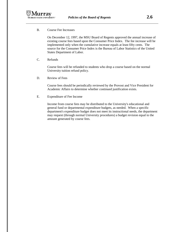

B. Course Fee Increases

On December 12, 1997, the MSU Board of Regents approved the annual increase of existing course fees based upon the Consumer Price Index. The fee increase will be implemented only when the cumulative increase equals at least fifty cents. The source for the Consumer Price Index is the Bureau of Labor Statistics of the United States Department of Labor.

C. Refunds

Course fees will be refunded to students who drop a course based on the normal University tuition refund policy.

D. Review of Fees

Course fees should be periodically reviewed by the Provost and Vice President for Academic Affairs to determine whether continued justification exists.

E. Expenditure of Fee Income

Income from course fees may be distributed to the University's educational and general fund or departmental expenditure budgets, as needed. When a specific department's expenditure budget does not meet its instructional needs, the department may request (through normal University procedures) a budget revision equal to the amount generated by course fees.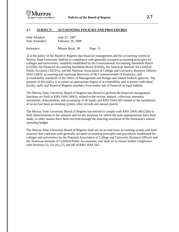

#### **2.7 SUBJECT: ACCOUNTING POLICIES AND PROCEDURES**

| Date Adopted: | June 22, 1987     |
|---------------|-------------------|
| Date Amended: | February 29, 2008 |

Reference: Minute Book: 38 Page: 15

It is the policy of the Board of Regents that financial management and the accounting system at Murray State University shall be in compliance with generally accepted accounting principles for colleges and universities; standards established by the Governmental Accounting Standards Board (GASB), the Financial Accounting Standards Board (FASB), the American Institute for Certified Public Accounts (AICPA), and the National Association of College and University Business Officers (NACUBO); accounting and reporting directives of the Commonwealth of Kentucky; and accountability standards of the Office of Management and Budget and related Federal agencies. The purpose of this policy is to assure an appropriate degree of accountability and to protect individual faculty, staff, and Board of Regents members from undue risk of financial or legal liability.

The Murray State University Board of Regents has elected to perform the financial management functions set forth in KRS 164A.560(2), related to the receipt, deposit, collection, retention, investment, disbursement, and accounting of all funds; and KRS 164A.565 related to the installation of an accrual basis accounting system, other records and annual reports.

The Murray State University Board of Regents has elected to comply with KRS 164A.560 (2)(b) to limit disbursements to the amounts and for the purposes for which the state appropriations have been made, or other monies have been received through the enacting resolution of the institution's annual operating budget.

The Murray State University Board of Regents shall use an accrual basis accounting system and fund structure that conforms with generally accepted accounting principles and procedures established for colleges and universities by the National Association of College and University Business Officers and the American Institute of Certified Public Accountants, and shall act to ensure further compliance with Sections (2), (3), (6), (7), and (8) of KRS 164A.565.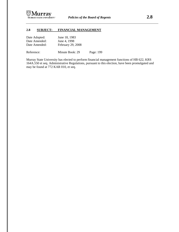

## **2.8 SUBJECT: FINANCIAL MANAGEMENT**

| Date Adopted: | June 18, 1983     |
|---------------|-------------------|
| Date Amended: | June 4, 1998      |
| Date Amended: | February 29, 2008 |
|               |                   |

Reference: Minute Book: 29 Page: 199

Murray State University has elected to perform financial management functions of HB 622, KRS 164A.550 et seq. Administrative Regulations, pursuant to this election, have been promulgated and may be found at 772 KAR 010, et seq.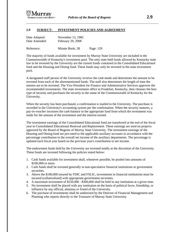

#### **2.9 SUBJECT: INVESTMENT POLICIES AND AGREEMENT**

| Date Adopted: | November 13, 1982 |
|---------------|-------------------|
| Date Amended: | February 29, 2008 |
|               |                   |

Reference: Minute Book: 28 Page: 129

The majority of funds available for investment by Murray State University are included in the Commonwealth of Kentucky's investment pool. The only state held funds allowed by Kentucky state law to be invested by the University are the current funds contained in the Consolidated Educational fund and the Housing and Dining fund. These funds may only be invested in the state investment pool.

A designated staff person of the University reviews the cash needs and determines the amount to be invested from each of the aforementioned funds. The staff also determines the length of time the monies are to be invested. The Vice President for Finance and Administrative Services approves the recommended investments. The state investment office in Frankfort, Kentucky, then chooses the best type of security and purchases the security in the name of the Commonwealth of Kentucky for the University.

When the security has been purchased, a confirmation is mailed to the University. The purchase is recorded in the University's accounting system per the confirmation. When the security matures, a pay-in-voucher increases the cash balance in the appropriate fund from which the investment was made for the amount of the investment and the interest earned.

The investment earnings of the Consolidated Educational fund are transferred at the end of the fiscal year to Consolidated Educational Renewal and Replacement. These earnings are used on projects approved by the Board of Regents of Murray State University. The investment earnings of the Housing and Dining fund are pro-rated to the applicable auxiliary accounts in accordance with the percentage contribution to the overall net income of the auxiliary departments. The percentage is updated each fiscal year based on the previous year's contribution to net income.

The endowment funds held by the University are invested totally at the discretion of the University. These funds are invested following the policies stated below:

- 1. Cash funds available for investment shall, whenever possible, be pooled into amounts of \$100,000 or more.
- 2. Cash funds shall be invested generally in non-speculative financial institutions or government securities.
- 3. Above the \$100,000 insured by FDIC and FSLIC, investments in financial institutions must be secured (collateralized) with appropriate government securities.
- 4. A maximum investment of \$250,000 \$300,000 shall be held in any institution at a given time.
- 5. No investment shall be placed with any institution on the basis of political favor, friendship, or influence by any official, alumnus or friend of the University.
- 6. The purchase of investments shall be authorized by the Director of Financial Management and Planning who reports directly to the Treasurer of Murray State University.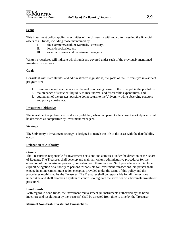#### **Scope**

This investment policy applies to activities of the University with regard to investing the financial assets of all funds, including those maintained by:

- I. the Commonwealth of Kentucky's treasury,
- II. local depositories, and
- III. external trustees and investment managers.

Written procedures will indicate which funds are covered under each of the previously mentioned investment structures.

#### **Goals**

Consistent with state statutes and administrative regulations, the goals of the University's investment program are:

- 1. preservation and maintenance of the real purchasing power of the principal in the portfolios,
- 2. maintenance of sufficient liquidity to meet normal and foreseeable expenditures, and
- 3. attainment of the greatest possible dollar return to the University while observing statutory and policy constraints.

#### **Investment Objective**

The investment objective is to produce a yield that, when compared to the current marketplace, would be described as competitive by investment managers.

#### **Strategy**

The University's investment strategy is designed to match the life of the asset with the date liability occurs.

#### **Delegation of Authority**

#### **General:**

The Treasurer is responsible for investment decisions and activities, under the direction of the Board of Regents. The Treasurer shall develop and maintain written administrative procedures for the operation of the investment program, consistent with these policies. Such procedures shall include explicit delegation of authority to persons responsible for investment transactions. No person shall engage in an investment transaction except as provided under the terms of this policy and the procedures established by the Treasurer. The Treasurer shall be responsible for all transactions undertaken and shall establish a system of controls to regulate the activities of subordinate investment personnel.

#### **Bond Funds:**

With regard to bond funds, the investment/reinvestment (in instruments authorized by the bond indenture and resolutions) by the trustee(s) shall be directed from time to time by the Treasurer.

#### **Minimal Non-Cash Investment Transactions:**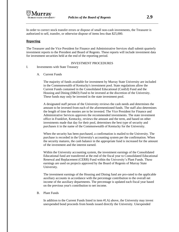In order to correct stock transfer errors or dispose of small non-cash investments, the Treasurer is authorized to sell, transfer, or otherwise dispose of items less than \$25,000.

#### **Reporting**

The Treasurer and the Vice President for Finance and Administrative Services shall submit quarterly investment reports to the President and Board of Regents. These reports will include investment data for investment securities held at the end of the reporting period.

#### INVESTMENT PROCEDURES

- I. Investments with State Treasury
	- A. Current Funds

The majority of funds available for investment by Murray State University are included in the Commonwealth of Kentucky's investment pool. State regulations allow the Current Funds contained in the Consolidated Educational (ConEd) Fund and the Housing and Dining (H&D) Fund to be invested at the discretion of the University. These funds may only be invested in the state investment pool.

A designated staff person of the University reviews the cash needs and determines the amount to be invested from each of the aforementioned funds. The staff also determines the length of time the monies are to be invested. The Vice President for Finance and Administrative Services approves the recommended investments. The state investment office in Frankfort, Kentucky, reviews the amount and the term, and based on other investments made that day for their pool, determines the best type of security and purchases it in the name of the Commonwealth of Kentucky for the University.

When the security has been purchased, a confirmation is mailed to the University. The purchase is recorded in the University's accounting system per the confirmation. When the security matures, the cash balance in the appropriate fund is increased for the amount of the investment and the interest earned.

Within the University accounting system, the investment earnings of the Consolidated Educational fund are transferred at the end of the fiscal year to Consolidated Educational Renewal and Replacement (CERR) Fund within the University's Plant Funds. These earnings are used on projects approved by the Board of Regents of Murray State University.

The investment earnings of the Housing and Dining fund are pro-rated to the applicable auxiliary accounts in accordance with the percentage contribution to the overall net income of the auxiliary departments. The percentage is updated each fiscal year based on the previous year's contribution to net income.

#### B. Plant Funds

In addition to the Current Funds listed in item #I.A) above, the University may invest unexpended bond proceeds from bonds issued directly the University. Unexpended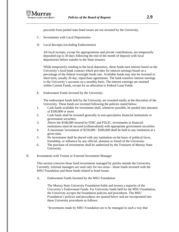

proceeds from pooled state bond issues are not invested by the University.

- C. Investments with Local Depositories
- D. Local Receipts (excluding Endowments)

All local receipts, except for appropriations and private contributions, are temporarily deposited (up to 30 days following the end of the month of deposit) with local depositories before transfer to the State treasury.

While temporarily residing in the local depository, these funds earn interest based on the University's local bank contract which provides for interest earnings based on a percentage of the federal overnight funds rate. Available funds may also be invested in short term, usually 20 day, repurchase agreements. The bank transfers interest earnings to the University's accounts on a monthly basis. The interest earnings are retained within Current Funds, except for an allocation to Federal Loan Funds.

E. Endowment Funds Invested by the University:

The endowment funds held by the University are invested totally at the discretion of the University. These funds are invested following the policies stated below:

- 1. Cash funds available for investment shall, whenever possible, be pooled into amounts of \$100,000 or more.
- 2. Cash funds shall be invested generally in non-speculative financial institutions or government securities.
- 3. Above the \$100,000 insured by FDIC and FSLIC, investments in financial institutions must be secured (collateralized) with appropriate government securities.
- 4. A maximum 'investment of \$250,000 \$300,000 shall be held in any institution at a given time.
- 5. No investment shall be placed with any institution on the basis of political favor, friendship, or influence by any official, alumnus or friend of the University.
- 6. The purchase of investments shall be authorized by the Treasurer of Murray State University.
- II. Investments with Trustee or External Investment Manager

This section concerns those fund investments managed by parties outside the University. Currently, external managers are used only for two areas—those funds invested with the MSU Foundation and those funds related to bond issues.

A. Endowment Funds Invested by the MSU Foundation

The Murray State University Foundation holds and invests a majority of the University's Endowment Funds. For University funds held by the MSU Foundation, the University accepts the Foundation policies and procedures. The MSU Foundation's policies and procedures are quoted below and are incorporated into these University procedures as follows:

"Investments made by MSU Foundation are to be managed in such a way that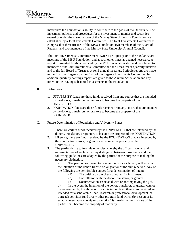

maximizes the Foundation's ability to contribute to the goals of the University. The investment policies and procedures for the investment of monies and securities owned or under the custodial care of the Murray State University Foundation are established by a Joint Investments Committee. The Joint Investments Committee is comprised of three trustees of the MSU Foundation, two members of the Board of Regents, and two members of the Murray State University Alumni Council.

The Joint Investments Committee meets twice a year just prior to the regular Board meetings of the MSU Foundation, and at such other times as deemed necessary. A report of invested funds is prepared by the MSU Foundation staff and distributed to members of the Joint Investments Committee and the Treasurer at quarterly intervals and to the full Board of Trustees at semi-annual meetings. Periodic reports are made to the Board of Regents by the Chair of the Regents Investments Committee. In addition, quarterly earnings reports are given to the Alumni Association and any other entities having substantial investments in the Foundation.

#### **B.** Definitions

- 1. UNIVERSITY funds are those funds received from any source that are intended by the donors, transferors, or grantors to become the property of the UNIVERSITY.
- 2. FOUNDATION funds are those funds received from any source that are intended by the donors, transferors, or grantors to become the property of the FOUNDATION.
- C. Future Determination of Foundation and University Funds:
	- 1. There are certain funds received by the UNIVERSITY that are intended by the donors, transferors, or grantors to become the property of the FOUNDATION.
	- 2. Likewise, there are funds received by the FOUNDATION that are intended by the donors, transferors, or grantors to become the property of the UNIVERSITY.
	- 3. The parties desire to formulate policies whereby the officers, agents, and representatives of each party may distinguish between those funds and the following guidelines are adopted by the parties for the purpose of making the necessary distinction.

a) The person designated to receive funds for each party will ascertain the intention of the donor, transferor, or grantor of the sum received. Any of the following are permissible sources for a determination of intent:

- (1) The writing on the check or other gift instrument.
- (2) Consultation with the donor, transferor, or grantor.
- (3) Documentation associated with or accompanying the gift.

b) In the event the intention of the donor. transferor, or grantor cannot be ascertained by the above or if such is impractical, then sums received and intended for a scholarship, loan, research or professional development, or outreach activities fund or any other program fund which (by reason of its establishment, sponsorship or promotion) is clearly the fund of one of the parties shall become the property of that party.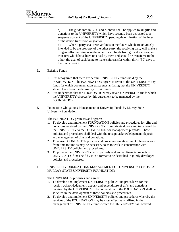c) The guidelines in C3 a. and b. above shall be applied to all gifts and donations to the UNIVERSITY which have recently been deposited to a suspense account of the UNIVERSITY pending determination of the intent of the donor, transferor, or grantor.

d) When a party shall receive funds in the future which are obviously intended to be the property of the other party, the receiving party will make a diligent effort to reimburse the other for all funds from gifts, donations, and transfers which have been received by them and should be transferee to the other; the goal of each being to make said transfer within thirty (30) days of the funds receipt.

- D. Existing Funds
	- 1. It is recognized that there are certain UNIVERSITY funds held by the FOUNDATION. The FOUNDATION agrees to remit to the UNIVERSITY any funds for which documentation exists substantiating that the UNIVERSITY should have been the depository of said funds.
	- 2. It is understood that the FOUNDATION may retain UNIVERSITY funds which the UNIVERSITY chooses by this agreement to be managed by the FOUNDATION.
- E. Foundation Obligations-Management of University Funds by Murray State University Foundation:

The FOUNDATION promises and agrees:

- 1. To develop and implement FOUNDATION policies and procedures for gifts and donations received by the UNIVERSITY from private donors and transferred by the UNIVERSITY to the FOUNDATION for management purposes. These policies and procedures shall deal with the receipt, acknowledgement, deposit, and management of gifts and donations.
- 2. To revise FOUNDATION policies and procedures as stated in D. I hereinabove from time to time as may be necessary so as to work in concurrence with UNIVERSITY policies and procedures.
- 3. To provide the UNIVERSITY with quarterly and annual financial reports on UNIVERSITY funds held by it in a format to be described in jointly developed policies and procedures.
- F. UNIVERSITY OBLIGATIONS-MANAGEMENT OF UNIVERSITY FUNDS BY MURRAY STATE UNIVERSITY FOUNDATION:

The UNIVERSITY promises and agrees:

- 1. To develop and implement UNIVERSITY policies and procedures for the receipt, acknowledgement, deposit and expenditure of gifts and donations received by the UNIVERSITY. The cooperation of the FOUNDATION shall be solicited in the development of these policies and procedures.
- 2. To develop and implement UNIVERSITY policies and procedures whereby the services of the FOUNDATION may be most effectively utilized in the management of UNIVERSITY funds which the UNIVERSITY has received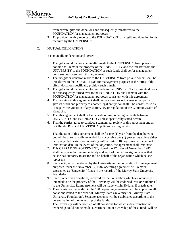from private gifts and donations and subsequently transferred to the FOUNDATION for management purposes.

3. To provide monthly reports to the FOUNDATION for all gift and donation funds received by the UNIVERSITY.

## G. MUTUAL OBLIGATIONS:

It is mutually understood and agreed:

- 1. That gifts and donations hereinafter made to the UNIVERSITY from private donors shall remain the property of the UNIVERSITY and the transfer from the UNIVERSITY to the FOUNDATION of such funds shall be for management purposes consistent with this agreement.
- 2. That no gift or donation made to the UNIVERSITY from private donors shall be transferred to the FOUNDATION for management purposes if the terms of the gift or donation specifically prohibit such transfer.
- 3. That gifts and donations heretofore made to the UNIVERSITY by private donors and subsequently turned over to the FOUNDATION shall remain with the FOUNDATION for management purposes consistent with this agreement.
- 4. That nothing in this agreement shall be construed so as to cause either party to give its funds and property to another legal entity; nor shall it be construed so as to require the violation of any statute, law or regulation of the Commonwealth of Kentucky.
- 5. That this agreement shall not supersede or void other agreements between UNIVERSITY and FOUNDATION unless specifically stated herein.
- 6. That the parties agree to conduct a semiannual review of this agreement and all FOUNDATION and UNIVERSITY policies relating hereto.

That the term of this agreement shall be for one (1) year from the date hereon; but will be automatically extended for successive one (1) year terms unless either party objects to extension in writing within thirty (30) days prior to the annual termination date. In the event of that objection, the agreement shall terminate.

- 7. This OPERATING AGREEMENT, signed the 17th day of November, 1987, shall become effective immediately and each of the parties signing states that he/she has authority to act for and on behalf of the organization which he/she represents.
- 8. Funds originally transferred by the University to the Foundation for management purposes under the November 17, 1987 operating agreement will remain segregated as "University" funds in the records of the Murray State University Foundation.
- 9. Funds, other than donations, received by the Foundation which are obviously intended to be the property of the University will be endorsed over or reimbursed to the University. Reimbursement will be made within 30 days, if practicable.
- 10. The criteria for ownership in the 1987 operating agreement will be applied to all donations issued to the order of "Murray State University" or "Murray State University Foundation". Separate accounts will be established according to the determination of the ownership of the funds.
- 11. The University will be notified of all donations for which a determination of ownership could not be made. Determination of ownership of these funds will be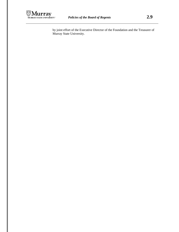

by joint effort of the Executive Director of the Foundation and the Treasurer of Murray State University.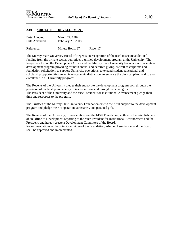

#### **2.10 SUBJECT: DEVELOPMENT**

| Date Adopted: | March 27, 1982    |
|---------------|-------------------|
| Date Amended: | February 29, 2008 |
|               |                   |

Reference: Minute Book: 27 Page: 17

The Murray State University Board of Regents, in recognition of the need to secure additional funding from the private sector, authorizes a unified development program at the University. The Regents call upon the Development Office and the Murray State University Foundation to operate a development program providing for both annual and deferred giving, as well as corporate and foundation solicitation, to support University operations, to expand student educational and scholarship opportunities, to achieve academic distinction, to enhance the physical plant, and to attain excellence in all University programs

The Regents of the University pledge their support to the development program both through the provision of leadership and energy to insure success and through personal gifts. The President of the University and the Vice President for Institutional Advancement pledge their time and resources to the program.

The Trustees of the Murray State University Foundation extend their full support to the development program and pledge their cooperation, assistance, and personal gifts.

The Regents of the University, in cooperation and the MSU Foundation, authorize the establishment of an Office of Development reporting to the Vice President for Institutional Advancement and the President, and hereby create a Development Committee of the Board.

Recommendations of the Joint Committee of the Foundation, Alumni Association, and the Board shall be approved and implemented.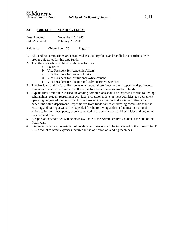

#### **2.11 SUBJECT: VENDING FUNDS**

| Date Adopted: | November 16, 1985 |
|---------------|-------------------|
| Date Amended: | February 29, 2008 |

Reference: Minute Book: 35 Page: 21

- 1. All vending commissions are considered as auxiliary funds and handled in accordance with proper guidelines for this type funds.
- 2. That the disposition of these funds be as follows:
	- a. President
	- b. Vice President for Academic Affairs
	- c. Vice President for Student Affairs
	- d. Vice President for Institutional Advancement
	- e. Vice President for Finance and Administrative Services
- 3. The President and the Vice Presidents may budget these funds to their respective departments. Carry-over balances will remain in the respective departments as auxiliary funds.
- 4. Expenditures from funds earned on vending commissions should be expended for the following: scholarships, student recruitment activities, professional development activities, to supplement operating budgets of the department for non-recurring expenses and social activities which benefit the entire department. Expenditures from funds earned on vending commissions in the Housing and Dining area can be expended for the following additional items: recreational activities for dorm occupants, expenses related to extracurricular social activities and any other legal expenditure.
- 5. A report of expenditures will be made available to the Administrative Council at the end of the fiscal year.
- 6. Interest income from investment of vending commissions will be transferred to the unrestricted E & G account to offset expenses incurred in the operation of vending machines.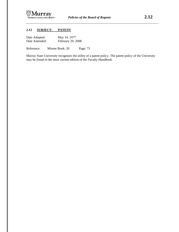

## **2.12 SUBJECT: PATENT**

| Date Adopted: | May 14, 1977      |
|---------------|-------------------|
| Date Amended: | February 29, 2008 |

Reference: Minute Book: 20 Page: 73

Murray State University recognizes the utility of a patent policy. The patent policy of the University may be found in the most current edition of the *Faculty Handbook.*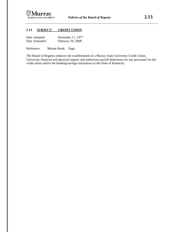

## **2.13 SUBJECT: CREDIT UNION**

| Date Adopted: | December 17, 1977 |
|---------------|-------------------|
| Date Amended: | February 29, 2008 |

Reference: Minute Book: Page:

The Board of Regents endorses the establishment of a Murray State University Credit Union, University financial and physical support and authorizes payroll deductions for any personnel for the credit union and/or the banking/savings institutions in the State of Kentucky.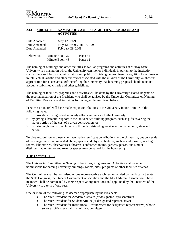#### **2.14 SUBJECT: NAMING OF CAMPUS FACILITIES, PROGRAMS AND ACTIVITIES**

| Date Adopted: | May 12, 1979                |
|---------------|-----------------------------|
| Date Amended: | May 12, 1990, June 18, 1999 |
| Date Amended: | February 29, 2008           |

| References: | Minute Book: 22 | Page: 311  |
|-------------|-----------------|------------|
|             | Minute Book: 45 | Page: $12$ |

The naming of buildings and other facilities as well as programs and activities at Murray State University is a manner in which the University can: honor individuals important to the institution such as deceased faculty, administrators and public officials; give prominent recognition for eminence in intellectual, artistic and other endeavors associated with the mission of the University; or show its appreciation for a substantial gift benefiting the University. Each naming proposal should take into account established criteria and other guidelines.

The naming of facilities, programs and activities will be done by the University's Board Regents on the recommendation of the President who shall be advised by the University Committee on Naming of Facilities, Programs and Activities following guidelines listed below:

Persons so honored will have made major contributions to the University in one or more of the following ways:

- 1. by providing distinguished scholarly efforts and service to the University;
- 2. by giving substantial support to the University's building program, such as gifts covering the major portion of the cost of a given construction; or
- 3. by bringing honor to the University through outstanding service to the community, state and nation.

To give recognition to those who have made significant contributions to the University, but on a scale of less magnitude than indicated above, spaces and physical features, such as auditoriums, reading rooms, laboratories, observatories, theatres, conference rooms, gardens, plazas, and similar distinguishable interior and exterior spaces may be named for the honoree(s).

## **THE COMMITTEE**

The University Committee on Naming of Facilities, Programs and Activities shall receive nominations for naming university buildings, rooms, sites, programs or other facilities or areas.

The Committee shall be comprised of one representative each recommended by the Faculty Senate, the Staff Congress, the Student Government Association and the MSU Alumni Association. These members shall be nominated by their respective organizations and appointed by the President of the University to a term of one year.

One or more of the following, as deemed appropriate by the President:

- The Vice President for Academic Affairs (or designated representative)
- The Vice President for Student Affairs (or designated representative)
- The Vice President for Institutional Advancement (or designated representative) who will serve ex officio as chairman of the Committee.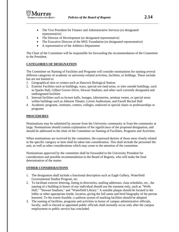

- The Vice President for Finance and Administrative Services (or designated representative)
- The Director of Development (or designated representative)
- The Executive Director of the MSU Foundation (or designated representative)
- A representative of the Athletics Department

The Chair of the Committee will be responsible for forwarding the recommendation of the Committee to the President.

## **CATEGORIES OF DESIGNATION**

The Committee on Naming of Facilities and Programs will consider nominations for naming several different categories of academic or university-related activities, facilities, or holdings. These include but are not limited to:

- 1. Geographical sites or centers such as Hancock Biological Station
- 2. Exterior Facilities such as buildings, ways, special-use land areas, or sites outside buildings, such as Sparks Hall, Gilbert Graves Drive, Stewart Stadium, and other such currently designated and undesignated facilities
- 3. Internal facilities such as lecture halls, lounges, laboratories, seminar rooms, or special areas within buildings such as Johnson Theatre, Lovett Auditorium, and Farrell Recital Hall
- 4. Academic programs, institutes, centers, colleges, endowed or special chairs or professorships or programs

## **PROCEDURES**

Nominations may be submitted by anyone from the University community or from the community at large. Nominations should contain explanation of the significance of the proposed designation, and should be addressed to the chair of the Committee on Naming of Facilities, Programs and Activities.

When nominations are received by the committee, the expressed desires of those most closely related to the specific category or item shall be taken into consideration. This shall include the personnel the unit, as well as other considerations which may come to the attention of the committee.

Nominations approved by the committee shall be forwarded to the University President for consideration and possible recommendation to the Board of Regents, who will make the final determination of the matter.

#### **OTHER CONSIDERATIONS**

- 1. The designation shall include a functional description such as Eagle Gallery, Waterfield Governmental Studies Program, etc.
- 2. To facilitate exterior lettering, listing in directories, mailing addresses, class schedules, etc., the naming of a building in honor of any individual should use the surname only, such as "Wells Hall," "Stewart Stadium," and "Waterfield Library." A suitable plaque should be located in the lobby or other appropriate inside, location, giving the full name and brief biography of the person honored. To the extent feasible, a uniform system of marking facilities should be adopted.
- 3. The naming of facilities, programs and activities in honor of campus administrative officials, faculty, staff or elected or appointed public officials shall normally occur only after the campus employment or public service has concluded.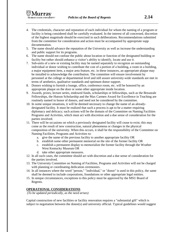

- 4. The credentials, character and reputation of each individual for whom the naming of a program or facility is being considered shall be carefully evaluated. In the interest of all concerned, discretion of the highest magnitude should be exercised in such deliberations. Recommendations submitted from the committee for consideration and action must be accompanied by appropriate supp documentation.
- 5. The name should advance the reputation of the University as well as increase the understanding and public support for its programs.
- 6. The name should not confuse the public about location or function of the designated building or facility but rather should enhance a visitor's ability to identify, locate and use it.
- 7. Sub-units of a new or existing facility may be named separately to recognize an outstanding individual or donor wishing to contribute the cost of a portion of a building, a room in a building, a major equipment item, a major area feature, etc. in these instances, an appropriate plaque may be installed to acknowledge the contribution. The committee will ensure involvement by personnel at the college or departmental level and still assure university-wide standards are met in terms of aesthetics, qualitative standards and optimum donor support.
- 8. Donors wishing to furnish a lounge, office, conference room, etc. will be honored by an appropriate plaque on the door or some other appropriate inside location.
- 9. Awards, prizes, lecture series, endowed funds, scholarships or fellowships, such as the Breazeale Fellowships, the Hutson Scholarship and the Max Carmen Award for Excellence in Teaching are routinely named in honor of donors, and need not be considered by the committee.
- 10. In some unique situations, it will be deemed necessary to change the name of an alreadydesignated facility. It must be realized that such a process is apt to be a matter requiring diplomacy and delicacy; such actions will be the domain of the Committee on Naming Facilities Programs and Activities, which must act with discretion and a due sense of consideration for the parties involved.
- 11. There will be occasions on which a previously designated facility will cease to exist; this may come as the result of new construction, natural phenomena or changes in the physical composition of the university. When this occurs, it shall be the responsibility of the Committee on Naming Facilities, Programs and Activities to:
	- a. give the name of the previous facility to another appropriate facility OR
	- b. establish some other permanent memorial on the site of the former facility OR
	- c. establish a permanent display to memorialize the former facility through the Wrather West Kentucky Museum OR
	- d. take other appropriate measures.
- 12. In all such cases, the committee should act with discretion and a due sense of consideration for the parties involved.
- 13. The University Committee on Naming of Facilities, Programs and Activities will not be charged with planning or coordinating dedication ceremonies.
- 14. In all instances where the word "person," "individual," or "donor" is used in this policy, the same shall be deemed to include corporations, foundations or other appropriate legal entities.
- 15. In unique circumstances, exceptions to this policy must be approved by the MSU Board of Regents.

## **OPERATIONAL CONSIDERATIONS**

*(To be updated periodically, as the need arises)*

Capital construction of new facilities or facility renovation requires a "substantial gift" which is subject to negotiation between the donor(s) and university official. Typical guidelines would suggest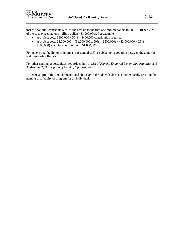that the donor(s) contribute 50% of the cost up to the first one million dollars (\$1,000,000) and 25% of the cost exceeding one million dollars (\$1,000,000). For example:

- A project costs  $$800,000 \times 50\% = $400,000$  contribution required
- A project costs  $$3,000,000 = ($1,000,000 \times 50\% = $500,000) + ($2,000,000 \times 25\% =$  $$500,000$  = a total contribution of \$1,000,000

For an existing facility or program a "substantial gift" is subject to negotiation between the donor(s) and university officials.

For other naming opportunities, see Addendum 1, *List of Named, Endowed Donor Opportunities*, and Addendum 2, *Description of Naming Opportunities.*

A financial gift of the amount mentioned above or in the addenda does not automatically result in the naming of a facility or program for an individual.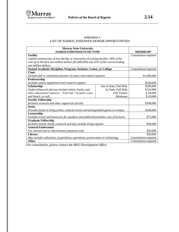

## Addendum 1 LIST OF NAMED, ENDOWED DONOR OPPORTUNITIES

| <b>Murray State University</b><br><b>NAMED ENDOWED FUND TYPE</b>                     |                         | <b>MINIMUM*</b>       |
|--------------------------------------------------------------------------------------|-------------------------|-----------------------|
| <b>Facility</b>                                                                      |                         | Consultation required |
| Capital construction of new facility or renovation of existing facility: 50% of the  |                         |                       |
| cost up to the first one million dollars (\$1,000,000) and 25% of the cost exceeding |                         |                       |
| one million dollars.                                                                 |                         |                       |
| Named Academic Discipline, Program, Institute, Center, or College                    |                         | Consultation required |
| <b>Chair</b>                                                                         |                         |                       |
| Includes full or substantial portion of salary and related expenses                  |                         | \$1,000,000           |
| Professorship                                                                        |                         |                       |
| Includes salary supplement and research support                                      |                         | \$250,000             |
| Scholarship                                                                          | Out of State, Full Ride | \$200,000             |
| Student financial aid may include tuition, books, and                                | In-State, Full Ride     | \$125,000             |
| other educational expenses. "Full-ride" includes room                                | <b>Full Tuition</b>     | \$54,000              |
| Minimum<br>and board, as well.                                                       |                         | \$20,000              |
| <b>Faculty Fellowship</b>                                                            |                         |                       |
| Includes research and other support for faculty                                      |                         | \$100,000             |
| <b>Series</b>                                                                        |                         |                       |
| Provides funds to bring artists, cultural events and distinguished guests to campus  |                         | \$100,000             |
| Lectureship                                                                          |                         |                       |
| Includes travel and honoraria for speakers and publication/media costs of lectures   |                         | \$75,000              |
| <b>Graduate Fellowship</b>                                                           |                         |                       |
| Includes tuition, books, research and may include living expense                     |                         | \$50,000              |
| <b>General Endowment</b>                                                             |                         |                       |
| For unrestricted or discretionary purposes only                                      |                         | \$20,000              |
| Library                                                                              |                         | \$20,000              |
| May include collections, acquisitions, operations, preservation or technology        |                         | Consultation required |
| <b>Other</b>                                                                         |                         | Consultation required |

*For consultation, please contact the MSU Development Office.*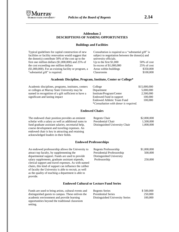

 $50\%$  of cost  $25%$  of  $cost$ \$350,000 \$100,000

#### **Addendum 2 DESCRIPTIONS OF NAMING OPPORTUNITIES**

#### **Buildings and Facilities**

| Typical guidelines for capital construction of new      | Consultation is required as a "substantial gift" is |             |
|---------------------------------------------------------|-----------------------------------------------------|-------------|
| facilities or facility renovation would suggest that    | subject to negotiation between the donor(s) and     |             |
| the donor(s) contribute $50\%$ of the cost up to the    | university officials.                               |             |
| first one million dollars $(\$1,000,000)$ and 25% of    | Up to the first $$1,000$                            | $50\%$ of c |
| the cost exceeding one million dollars                  | In excess of $$1,000,000$                           | $25\%$ of c |
| $($1,000,000)$ . For an existing facility or program, a | Areas within buildings                              | \$350,0     |
| "substantial gift" is required.                         | <b>Classrooms</b>                                   | \$100.0     |

#### **Academic Discipline, Program, Institute, Center or College\***

Academic disciplines, programs, institutes, centers or colleges at Murray State University may be named in recognition of a gift sufficient to have a significant and lasting impact

| College                               | \$15,000,000 |
|---------------------------------------|--------------|
| Department                            | 5,000,000    |
| Institute/Program/Center              | 2,500,000    |
| Endowed Fund in support               | 100,000      |
| <b>Endowed Athletic Team Fund</b>     | 100,000      |
| *Consultation with donor is required. |              |

#### **Endowed Chairs**

The endowed chair position provides an eminent scholar with a salary as well as additional sums to fund graduate assistant salaries, secretarial help, course development and traveling expenses. An endowed chair is key in attracting and retaining acknowledged leaders in their fields.

| Regents Chair                  | \$2,000,000 |
|--------------------------------|-------------|
| Presidential Chair             | 1,500,000   |
| Distinguished University Chair | 1,000,000   |

#### **Endowed Professorships**

| An endowed professorship allows the University to      | Regents Professorship      |
|--------------------------------------------------------|----------------------------|
| attract top faculty, by supplementing the              | Presidential Professorship |
| departmental support. Funds are used to provide        | Distinguished University   |
| salary supplements, graduate assistant stipends,       | Professorship              |
| clerical support and travel expenses. As with named    |                            |
| chairs, this kind of support can influence the caliber |                            |
| of faculty the University is able to recruit, as well  |                            |
| as the quality of teaching a department is able to     |                            |
| provide.                                               |                            |

# $$1,000,000$ 500,000 250,000

#### **Endowed Cultural or Lecture Fund Series**

| Funds are used to bring artists, cultural events and | Regents Series                  | \$500,000 |
|------------------------------------------------------|---------------------------------|-----------|
| distinguished guests to campus. These enliven the    | <b>Presidential Series</b>      | 250,000   |
| academic environment and provide learning            | Distinguished University Series | 100,000   |
| opportunities beyond the traditional classroom       |                                 |           |
| setting.                                             |                                 |           |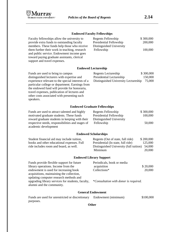

#### **Endowed Faculty Fellowships**

| Faculty fellowships allow the university to   | Regents Fellowship       | \$300,000 |
|-----------------------------------------------|--------------------------|-----------|
| provide extra funds to outstanding faculty    | Presidential Fellowship  | 200,000   |
| members. These funds help those who receive   | Distinguished University |           |
| them further their work in teaching, research | Fellowship               | 100,000   |
| and public service. Endowment income goes     |                          |           |
| toward paying graduate assistants, clerical   |                          |           |
| support and travel expenses.                  |                          |           |

## **Endowed Lectureship**

| Funds are used to bring to campus                 | Regents Lectureship                  | \$300,000 |
|---------------------------------------------------|--------------------------------------|-----------|
| distinguished lecturers with expertise and        | Presidential Lectureship             | 150,000   |
| experience relevant to the special interests of a | Distinguished University Lectureship | 75,000    |
| particular college or department. Earnings from   |                                      |           |
| the endowed fund will provide for honoraria,      |                                      |           |
| travel expenses, publication of lectures and      |                                      |           |
| other costs associated with presenting such       |                                      |           |
| speakers.                                         |                                      |           |

## **Endowed Graduate Fellowships**

| Funds are used to attract talented and highly    | Regents Fellowship       | \$300,000 |
|--------------------------------------------------|--------------------------|-----------|
| motivated graduate students. These funds         | Presidential Fellowship  | 100,000   |
| reward graduate students in keeping with their   | Distinguished University |           |
| respective needs, responsibilities and stages of | Fellowship               | 50,000    |
| academic development                             |                          |           |

## **Endowed Scholarships**

| Student financial aid may include tuition, | Regents (Out of state, full ride)              | \$200,000 |
|--------------------------------------------|------------------------------------------------|-----------|
| books and other educational expenses. Full | Presidential (In state, full ride)             | 125,000   |
| ride includes room and board, as well.     | Distinguished University (full tuition) 54,000 |           |
|                                            | Minimum                                        | 20,000    |

## **Endowed Library Support**

| Funds provide flexible support for future         | Periodicals, book or media            |          |
|---------------------------------------------------|---------------------------------------|----------|
| library operations. Income from the               | acquisition                           | \$20,000 |
| endowment is used for increasing book             | Collections*                          | 20,000   |
| acquisitions, maintaining the collection,         |                                       |          |
| updating computer research methods and            |                                       |          |
| upgrading library services for students, faculty, | *Consultation with donor is required. |          |
| alumni and the community.                         |                                       |          |

## **General Endowment**

| Funds are used for unrestricted or discretionary | Endowment (minimum) | \$100,000 |
|--------------------------------------------------|---------------------|-----------|
| purposes.                                        |                     |           |

**Other**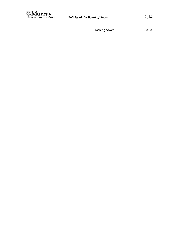

Teaching Award \$50,000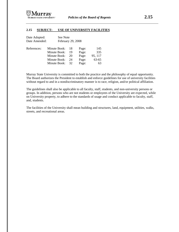

### **2.15 SUBJECT: USE OF UNIVERSITY FACILITIES**

| Date Adopted: |              | See Note |                   |       |         |
|---------------|--------------|----------|-------------------|-------|---------|
| Date Amended: |              |          | February 29, 2008 |       |         |
| References:   | Minute Book: |          | 18                | Page: | 145     |
|               | Minute Book: |          | 19                | Page: | 335     |
|               | Minute Book: |          | 20                | Page: | 95, 117 |
|               | Minute Book: |          | 24                | Page: | 63-65   |
|               | Minute Book: |          | 32                | Page: | 63      |

Murray State University is committed to both the practice and the philosophy of equal opportunity. The Board authorizes the President to establish and enforce guidelines for use of university facilities without regard to and in a nondiscriminatory manner is to race, religion, and/or political affiliation.

The guidelines shall also be applicable to all faculty, staff, students, and non-university persons or groups. In addition, persons who are not students or employees of the University are expected, while on University property, to adhere to the standards of usage and conduct applicable to faculty, staff, and, students.

The facilities of the University shall mean building and structures, land, equipment, utilities, walks, streets, and recreational areas.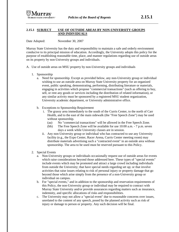### **2.15.1 SUBJECT USE OF OUTSIDE AREAS BY NON-UNIVERSITY GROUPS AND INDIVIDUALS**

Date Adopted: November 30, 2007

Murray State University has the duty and responsibility to maintain a safe and orderly environment conducive to its principal mission of education. Accordingly, the University adopts this policy for the purpose of establishing reasonable time, place, and manner regulations regarding use of outside areas on its property by non-University groups and individuals.

- A. Use of outside areas on MSU property by non-University groups and individuals
	- 1. Sponsorship
		- a. Need for sponsorship. Except as provided below, any non-University group or individual wishing to use an outside area on Murray State University property for an organized event, public speaking, demonstrating, performing, distributing literature or materials, engaging in activities which propose "commercial transactions" (such as offering to buy, sell, or rent any goods or services including the distribution of related information), or any similar activity must be sponsored by a registered MSU student organization, University academic department, or University administrative office.
		- b. Exceptions to Sponsorship Requirement
			- i. The grassy area immediately to the south of the Curris Center, to the north of Carr Health, and to the east of the main sidewalk (the "Free Speech Zone") may be used without sponsorship.
				- (aa) No "commercial transactions" will be allowed in the Free Speech Zone.
				- (bb) The Free Speech Zone will be available for use 10:00 a.m. 7 p.m. seven days a week while University classes are in session.
			- ii. Any non-University group or individual who has contracted to use any University facility (e.g., the Expo Center, Racer Arena, Curris Center meeting room) may distribute materials advertising such a "contracted event" in an outside area without sponsorship. The area to be used must be reserved pursuant to this Policy.
	- 2. Special Events
		- a. Non-University groups or individuals occasionally request use of outside areas for events which raise considerations beyond those addressed here. These types of "special events" include events which may be promoted and attract a large crowd including individuals from outside the University; that have special needs regarding set up; or that involve activities that raise issues relating to risk of personal injury or property damage that go beyond those which arise simply from the presence of a non-University group or individual on campus.
		- b. For "special events," and in addition to the sponsorship and reservation requirements of this Policy, the non-University group or individual may be required to contract with Murray State University and/or provide assurances regarding matters such as insurance, indemnity, and specific allocations of risks and responsibilities.
		- c. The University may not allow a "special event" due to reasonable concerns over issues, unrelated to the content of any speech, posed by the planned activity such as risk of injury or damage to person or property. Any such decision will be final.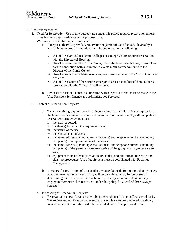- B. Reservation process
	- 1. Need for Reservation. Use of any outdoor area under this policy requires reservation at least three business days in advance of the proposed use.
	- 2. With whom reservation requests are made.
		- a. Except as otherwise provided, reservation requests for use of an outside area by a non-University group or individual will be submitted to the following:
			- i. Use of areas around residential colleges or College Courts requires reservation with the Director of Housing.
			- ii. Use of areas around the Curris Center, use of the Free Speech Zone, or use of an area in connection with a "contracted event" requires reservation with the Director of the Curris Center.
			- iii. Use of areas around athletic events requires reservation with the MSU Director of **Athletics**
			- iv. Use of areas south of the Curris Center, or of areas not addressed here, requires reservation with the Office of the President.
		- b. Requests for use of an area in connection with a "special event" must be made to the Vice President for Finance and Administrative Services.
	- 3. Content of Reservation Requests
		- a. The sponsoring group, or the non-University group or individual if the request is for the Free Speech Zone or is in connection with a "contracted event", will complete a reservation form which includes:
			- i. the area requested;
			- ii. the date(s) for which the request is made;
			- iii. the nature of the use;
			- iv. the estimated attendance;
			- v. the name, address (including e-mail address) and telephone number (including cell phone) of a representative of the sponsor;
			- vi. the name, address (including e-mail address) and telephone number (including cell phone) of the person or a representative of the group wishing to reserve an area;
			- vii. equipment to be utilized (such as chairs, tables, and platforms) and set-up and clean-up procedures. Use of equipment must be coordinated with Facilities Management.
		- b. A request for reservation of a particular area may be made for no more than two days at a time. Any part of a calendar day will be considered a day for purposes of determining the two day period. Each non-University group or individual may engage in "commercial transactions" under this policy for a total of three days per semester.
		- 4. Processing of Reservation Requests
			- a. Reservation requests for an area will be processed on a first come/first served basis. The review and notification under subparts a and b are to be completed in a timely manner so as not to interfere with the scheduled date of the proposed event.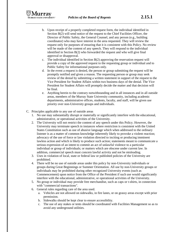

- b. Upon receipt of a properly completed request form, the individual identified in Section B(2) will send notice of the request to the Chief Facilities Officer, the Director of Public Safety, the General Counsel, and any person (e.g., building coordinator) who may have interest in the area requested. They will review the request only for purposes of ensuring that it is consistent with this Policy. No review will be made of the content of any speech. They will respond to the individual identified in Section B(2) who forwarded the request and who will give final approval or disapproval.
- c. The individual identified in Section B(2) approving the reservation request will provide a copy of the approved request to the requesting group or individual and to Public Safety for informational purposes only.
- d. In the event a request is denied, the person or group submitting the request will be promptly notified and given a reason. The requesting person or group may seek review of the denial by submitting a written statement in support of the request to the Vice President for Student Affairs within two business days of the denial. The Vice President for Student Affairs will promptly decide the matter and that decision will be final.
- e. Anything herein to the contrary notwithstanding and in all instances and in all outside areas, members of the Murray State University community, including academic departments, administrative offices, students, faculty, and staff, will be given use priority over non-University groups and individuals.
- C. Principles applicable to any use of outside areas
	- 1. No use may substantially disrupt or materially or significantly interfere with the educational, administrative, or operational activities of the University.
	- 2. The University will not restrict the content of any speech under this Policy. However, the University may terminate speech in instances where restriction is consistent with the United States Constitution such as use of abusive language which when addressed to the ordinary listener is as a matter of common knowledge inherently likely to provoke a violent reaction; advocacy of the use of force or law violation directed to inciting or producing imminent lawless action and which is likely to produce such action; statements meant to communicate a serious expression of an intent to commit an act of unlawful violence to a particular individual or group of individuals; or matters which are obscene under current law. In addition, commercial speech must concern lawful activity and not be misleading.
	- 3. Uses in violation of local, state or federal law or published policies of the University are prohibited.
	- 4. There will be no use of outside areas under this policy by non-University individuals or groups during Great Beginnings or Summer Orientation. All use by non-University groups or individuals may be prohibited during other recognized University events (such as Commencement) upon notice from the Office of the President if such use would significantly interfere with the educational, administrative, or operational activities of the University.
	- 5. No group or individual may provide free merchandise, such as caps or t-shirts, in connection with "commercial transactions".
	- 6. General rules regarding care of the area used.
		- a. Vehicles are not allowed on sidewalks, in fire lanes, or on grassy areas except with prior permission.
		- b. Sidewalks should be kept clear to ensure accessibility.
		- c. The use of any stakes or tents should be coordinated with Facilities Management so as to avoid any underground utilities.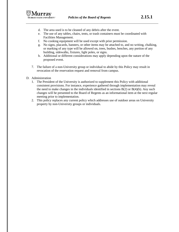

- d. The area used is to be cleaned of any debris after the event.
- e. The use of any tables, chairs, tents, or trash containers must be coordinated with Facilities Management.
- f. No cooking equipment will be used except with prior permission.
- g. No signs, placards, banners, or other items may be attached to, and no writing, chalking, or marking of any type will be allowed on, trees, bushes, benches, any portion of any building, sidewalks, fixtures, light poles, or signs.
- h. Additional or different considerations may apply depending upon the nature of the proposed event.
- 7. The failure of a non-University group or individual to abide by this Policy may result in revocation of the reservation request and removal from campus.
- D. Administration
	- 1. The President of the University is authorized to supplement this Policy with additional consistent provisions. For instance, experience gathered through implementation may reveal the need to make changes in the individuals identified in sections  $B(2)$  or  $B(4)(b)$ . Any such changes will be presented to the Board of Regents as an informational item at the next regular meeting prior to implementation.
	- 2. This policy replaces any current policy which addresses use of outdoor areas on University property by non-University groups or individuals.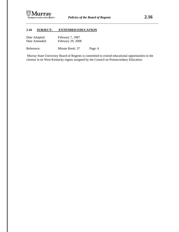

## **2.16 SUBJECT: EXTENDED EDUCATION**

| Date Adopted: | February 7, 1987  |
|---------------|-------------------|
| Date Amended: | February 29, 2008 |

Reference: Minute Book: 37 Page: 6

Murray State University Board of Regents is committed to extend educational opportunities to the citizens in its West Kentucky region assigned by the Council on Postsecondary Education.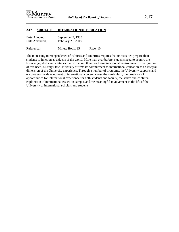

## **2.17 SUBJECT: INTERNATIONAL EDUCATION**

| Date Adopted: | September 7, 1985 |
|---------------|-------------------|
| Date Amended: | February 29, 2008 |

Reference: Minute Book: 35 Page: 10

The increasing interdependence of cultures and countries requires that universities prepare their students to function as citizens of the world. More than ever before, students need to acquire the knowledge, skills and attitudes that will equip them for living in a global environment. In recognition of this need, Murray State University affirms its commitment to international education as an integral dimension of the University experience. Through a number of programs, the University supports and encourages the development of international content across the curriculum, the provision of opportunities for international experience for both students and faculty, the active and continual exploration of international issues on campus and the meaningful involvement in the life of the University of international scholars and students.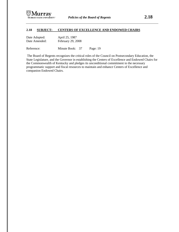

### **2.18 SUBJECT: CENTERS OF EXCELLENCE AND ENDOWED CHAIRS**

| Date Adopted: | April 25, 1987    |
|---------------|-------------------|
| Date Amended: | February 29, 2008 |

Reference: Minute Book: 37 Page: 19

The Board of Regents recognizes the critical roles of the Council on Postsecondary Education, the State Legislature, and the Governor in establishing the Centers of Excellence and Endowed Chairs for the Commonwealth of Kentucky and pledges its unconditional commitment to the necessary programmatic support and fiscal resources to maintain and enhance Centers of Excellence and companion Endowed Chairs.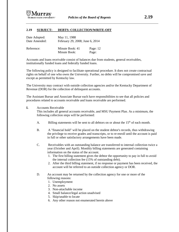

### **2.19 SUBJECT: DEBTS: COLLECTION/WRITE-OFF**

| Date Adopted: | May 11, 1988                    |            |
|---------------|---------------------------------|------------|
| Date Amended: | February 29, 2008; June 6, 2014 |            |
| Reference:    | Minute Book: 41                 | Page: $12$ |
|               | Minute Book:                    | Page:      |

Accounts and loans receivable consist of balances due from students, general receivables, institutionally funded loans and federally funded loans.

The following policy is designed to facilitate operational procedure. It does not create contractual rights on behalf of one who owes the University. Further, no debts will be compromised save and except as permitted by Kentucky law.

The University may contract with outside collection agencies and/or the Kentucky Department of Revenue (DOR) for the collection of delinquent accounts.

The Assistant Bursar and Associate Bursar each have responsibilities to see that all policies and procedures related to accounts receivable and loans receivable are performed.

#### **I.** Accounts Receivable

This includes all general accounts receivable, and MSU Payment Plan. As a minimum, the following collection steps will be performed:

- A. Billing statements will be sent to all debtors on or about the  $15<sup>th</sup>$  of each month.
- B. A "financial hold" will be placed on the student debtor's records, thus withdrawing the privilege to receive grades and transcripts, or to re-enroll until the account is paid in full or other satisfactory arrangements have been made.
- C. Receivables with an outstanding balance are transferred to internal collection twice a year (October and April). Monthly billing statements are generated containing information on the status of the account.
	- 1. The first billing statement gives the debtor the opportunity to pay in full to avoid the internal collection fee (15% of outstanding debt).
	- 2. After the third billing statement, if no response or payment has been received, the account will be referred to an outside collection agency or DOR.
- D. An account may be returned by the collection agency for one or more of the following reasons:
	- 1. Unemployment
	- 2. No assets
	- 3. Non-attachable income
	- 4. Small balance/legal action unadvised
	- 5. Skip/unable to locate
	- 6. Any other reason not enumerated herein above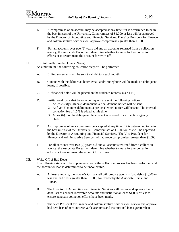- E. A compromise of an account may be accepted at any time if it is determined to be in the best interest of the University. Compromises of \$1,000 or less will be approved by the Director of Accounting and Financial Services. The Vice President for Finance and Administrative Services will approve compromises greater than \$1,000.
- F. For all accounts over two (2) years old and all accounts returned from a collection agency, the Associate Bursar will determine whether to make further collection efforts or to recommend the account for write-off.

# **II.** Institutionally Funded Loans (Notes)

As a minimum, the following collection steps will be performed.

- A. Billing statements will be sent to all debtors each month.
- B. Contact with the debtor via letter, email and/or telephone will be made on delinquent loans, if possible.
- C. A "financial hold" will be placed on the student's records. (See 1.B.)
- D. Institutional loans that become delinquent are sent the following notices:
	- 1. At least sixty (60) days delinquent, a final demand notice will be sent.
		- 2. At five (5) months delinquent, a pre-accelerated notice will be sent. The internal collection fee of 15% is added at this time.
		- 3. At six (6) months delinquent the account is referred to a collection agency or DOR.
- E. A compromise of an account may be accepted at any time if it is determined to be in the best interest of the University. Compromises of \$1,000 or less will be approved by the Director of Accounting and Financial Services. The Vice President for Finance and Administrative Services will approve compromises greater than \$1,000.
- F. For all accounts over two (2) years old and all accounts returned from a collection agency, the Associate Bursar will determine whether to make further collection efforts or to recommend the account for write-off.

## **III.** Write-Off of Bad Debts

The following steps will be implemented once the collection process has been performed and the account or loan is determined to be uncollectible.

- A. At least annually, the Bursar's Office staff will prepare two lists (bad debts \$1,000 or less and bad debts greater than \$1,000) for review by the Associate Bursar and Bursar.
- B. The Director of Accounting and Financial Services will review and approve the bad debt lists of account receivable accounts and institutional loans \$1,000 or less to ensure adequate collection efforts have been made.
- C. The Vice President for Finance and Administrative Services will review and approve bad debt lists of account receivable accounts and institutional loans greater than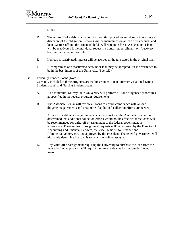\$1,000.

- D. The write-off of a debt is a matter of accounting procedure and does not constitute a discharge of the obligation. Records will be maintained on all bad debt accounts and loans written-off and the "financial hold" will remain in force. An account or loan will be reactivated if the individual requests a transcript, enrollment, or if recovery becomes apparent or possible.
- E. If a loan is reactivated, interest will be accrued at the rate stated in the original loan.
- F. A compromise of a reactivated account or loan may be accepted if it is determined to be in the best interest of the University. (See 1.E.)

## **IV.** Federally Funded Loans (Notes)

Currently included in these programs are Perkins Student Loans (formerly National Direct Student Loans) and Nursing Student Loans.

- A. As a minimum, Murray State University will perform all "due diligence" procedures as specified in the federal program requirements.
- B. The Associate Bursar will review all loans to ensure compliance with all due diligence requirements and determine if additional collection efforts are needed.
- C. After all due diligence requirements have been met and the Associate Bursar has determined that additional collection efforts would not be effective, these loans will be recommended for write-off or assignment to the federal government as appropriate. These write-off/assignment requests will be reviewed by the Director of Accounting and Financial Services, the Vice President for Finance and Administrative Services, and approved by the President. The federal government will ultimately determine if a loan is to be written-off or assigned.
- D. Any write-off or assignment requiring the University to purchase the loan from the federally funded program will require the same review as institutionally funded loans.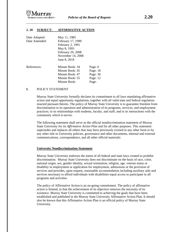

### **2. 20 SUBJECT: AFFIRMATIVE ACTION**

| Date Adopted: | May 11, 1985      |          |
|---------------|-------------------|----------|
| Date Amended: | February 17, 1990 |          |
|               | February 2, 1991  |          |
|               | May 8, 1993       |          |
|               | February 29, 2008 |          |
|               | November 14, 2008 |          |
|               | June 8, 2018      |          |
| References:   | Minute Book: 34   | Page: 6  |
|               | Minute Book: 45   | Page: 18 |
|               | Minute Book: 47   | Page: 36 |
|               | Minute Book: 55   | Page: 12 |
|               | Minute Book:      | Page:    |

### **I.** POLICY STATEMENT

Murray State University formally declares its commitment to all laws mandating affirmative action and equal opportunity regulations, together with all valid state and federal regulation enacted pursuant thereto. The policy of Murray State University is to guarantee freedom from discrimination in its operation and administration of its programs, services, and employment practices; in its relationships with students, faculty, and staff; and in its interactions with the community which it-serves.

The following statement shall serve as the official nondiscrimination statement of Murray State University for its *Affirmative Action Plan* and for all other purposes. This statement supersedes and replaces all others that may have previously existed in any other form or by any other title in University policies, governance and other documents, internal and external communications, correspondence, and all other official materials:

#### **University Nondiscrimination Statement**

Murray State University endorses the intent of all federal and state laws created to prohibit discrimination. Murray State University does not discriminate on the basis of race, color, national origin, sex, gender identity, sexual orientation, religion, age, veteran status or disability in employment or application for employment, admissions or the provision of services and provides, upon request, reasonable accommodation including auxiliary aids and services necessary to afford individuals with disabilities equal access to participate in all programs and activities.

The policy of Affirmative Action is an on-going commitment. The policy of affirmative action is limited, in that the achievement of its objective removes the necessity of its existence. Murray State University is committed to achieving the goals that have been established and published in the Murray State University Affirmative Action Plan. It should also be known that this Affirmative Action Plan is an official policy of Murray State University.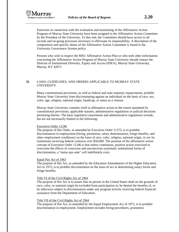

Functions in connection with the evaluation and monitoring of the Affirmative Action Program of Murray State University have been assigned to the Affirmative Action Committee by the President of the University. To this end, the Committee should have access to all records and on-going processes necessary to effectuate its responsibility. A description of the composition and specific duties of the Affirmative Action Committee is found in the University Governance System policy.

Persons who wish to inspect the MSU Affirmative Action Plan or who seek other information concerning the Affirmative Action Program of Murray State University should contact the Director of Institutional Diversity, Equity and Access (IDEA), Murray State University, Murray, KY 42071.

## **II.** LAWS, GUIDELINES, AND ORDERS APPLICABLE TO MURRAY STATE UNIVERSITY

Many constitutional provisions, as well as federal and state statutory requirements, prohibit Murray State University from discriminating against an individual on the basis of race, sex, color, age, religion, national origin, handicap, or status as a veteran.

Murray State University commits itself to affirmative action to the extent mandated by constitutional provisions, applicable statutes, administrative regulations or judicial decisions pertaining thereto. The basic legislative enactments and administrative regulations include, but are not necessarily limited to the following:

### Executive Order 11246

The purpose of this Order, as amended by Executive Order 11375, is to prohibit discrimination in employment (hiring, promotion, salary determination, fringe benefits, and other employment conditions) on the basis of race, color, religion, national origin, or sex by institutions receiving federal contracts over \$50,000. The premise of the affirmative action concept of Executive Order 11246 is that unless continuous, positive action exercised to overcome the effects of conscious and unconscious systematic institutional forms of discrimination, a "status quo ante" will indefinitely exist.

### Equal Pay Act of 1963

The purpose of this Act, as amended by the Education Amendments of the Higher Education Act in 1972, is to prohibit discrimination on the basis of sex in determining salary levels and fringe benefits.

#### Title VI of the Civil Rights Act of 1964

The purpose of this Act is to assure that no person in the United States shall on the grounds of race, color, or national origin be excluded from participation in, be denied the benefits of, or be otherwise subject to discrimination under any program activity receiving federal financial assistance from the Department of Education.

#### Title VII of the Civil Rights Act of 1964

The purpose of this Act, as amended by the Equal Employment Act of 1972, is to prohibit discrimination in employment. Employment includes hiring procedures, promotion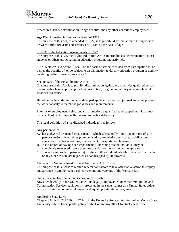

procedures, salary determination, fringe benefits, and any other conditions employment.

### Age Discrimination in Employment Act of 1967

The purpose of this Act, as amended in 1972, is to prohibit discrimination in hiring persons between forty (40) years and seventy (70) years on the basis of age.

### Title IX of the Education Amendments of 1972

The purpose of this Act, the Higher Education Act, is to prohibit sex discrimination against students or others participating in education programs and activities.

Title IX states: "No person ... shall, on the basis of sex be excluded from participation in, be denied the benefits of, or be subject to discrimination under any education program or activity receiving federal financial assistance."

### Section 504 of the Rehabilitation Act of 1973

The purpose of this Act is to prohibit discrimination against any otherwise qualified person due to his/her handicap. It applies to an institution, program, or activity receiving federal financial assistance.

Based on the legal definition, a handicapped applicant, as with all job seekers, must possess the work capacity to match the job duties and requirements.

In terms of employment, selection, and promotion, a qualified handicapped individual must be capable of performing within reason to his/her deficiency.

The legal definition of a handicapped individual is as follows:

Any person who:

- A. has a physical or mental impairment(s) which substantially limits one or more of such person's major life activities (communication, ambulation, self-care, socialization, education, vocational training, employment, transportation, housing);
- B. has a record of having such impairment(s) (meaning that an individual may be completely recovered from a previous physical or mental impairment(s)); or
- C. has reflected such impairment(s). (Refers to those individuals who, because of attitudes or any other reason, are regarded as handicapped by employers.)

### Vietnam Era Veterans Readjustment Assistance Act of 1974

The purpose of this Act is to require federal contractors to take affirmative action to employ and advance in employment disabled veterans and veterans of the Vietnam Era.

### Guidelines on Discrimination Because of Citizenship

Any alien lawfully in the United States and legally employable under the Immigration and Naturalization Service regulations is protected in the same manner as a United States citizen is from discrimination in employment and equal opportunity to programs.

### Applicable State Laws

Chapter 334, KRS 207.130 to 207.240, in the Kentucky Revised Statutes makes Murray State University subject to the public policy of the Commonwealth of Kentucky where the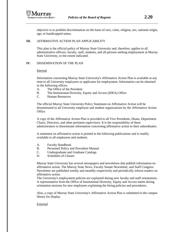

objective is to prohibit discrimination on the basis of race, color, religion, sex, national origin, age, or handicapped status.

## **III.** AFFIRMATIVE ACTION PLAN APPLICABILITY

This plan is the official policy of Murray State University and, therefore, applies to all administrative officers, faculty, staff, students, and all persons seeking employment at Murray State University, to the extent indicated.

## **IV.** DISSEMINATION OF THE PLAN

Internal

Information concerning Murray State University's Affirmative Action Plan is available at any time to all University employees or applicants for employment. Information can be obtained in the following offices:

- A. The Office of the President
- B. The Institutional Diversity, Equity and Access (IDEA) Office
- C. Human Resources

The official Murray State University Policy Statement on Affirmative Action will be disseminated to all University employee and student organizations by the Affirmative Action Office.

A copy of the Affirmative Action Plan is provided to all Vice Presidents, Deans, Department Chairs, Directors, and other pertinent supervisors. It is the responsibility of these administrators to disseminate information concerning affirmative action to their subordinates.

A statement on affirmative action is printed in the following publications and is readily available to all employees and students.

- A. Faculty Handbook
- B. Personnel Policy and Procedure Manual
- C. Undergraduate and Graduate Catalogs
- D. Schedules of Classes

Murray State University has several newspapers and newsletters that publish information on affirmative action. The Murray State News, Faculty Senate Newsletter, and Staff Congress Newsletter are published weekly and monthly respectively and periodically inform readers on affirmative action.

The University's employment policies are explained during new faculty and staff orientations. A representative from the Office of Institutional Diversity, Equity and Access meets during orientation sessions for new employees explaining the hiring policies and procedures.

Also, a copy of Murray State University's Affirmative Action Plan is submitted to the campus library for display.

## External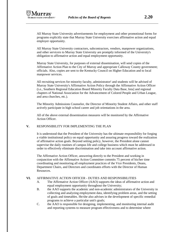

All Murray State University contractors, subcontractors, vendors, manpower organizations, and other servicers to Murray State University are promptly informed of the University's obligation to affirmative action and equal employment opportunity.

Murray State University, for purposes of external dissemination, will send copies of the Affirmative Action Plan to the City of Murray and appropriate Calloway County government; officials. Also, copies are sent to the Kentucky Council on Higher Education and to local manpower services.

All recruiting services for minority faculty, administrator! and students will be advised of Murray State University's Affirmative Action Policy through the Affirmative Action Officer (i.e., Southern Regional Education Board Minority Faculty Data Base, Iota] and regional chapters of National Association for the Advancement of Colored People and Urban League, and area churches, etc.).

The Minority Admissions Counselor, the Director of Minority Student Affairs, and other staff actively participate in high school career and job orientations in the area.

All of the above external dissemination measures will be monitored by the Affirmative Action Officer.

## **V.** RESPONSIBILITY FOR IMPLEMENTING THE PLAN

It is understood that the President of the University has the ultimate responsibility for forging a viable institutional policy on equal opportunity and assuring progress toward the realization of affirmative action goals. Beyond setting policy, however, the President alone cannot supervise the daily routines of campus life and college business which must be addressed in order to effectively eliminate discrimination and take into account affirmative action.

The Affirmative Action Officer, answering directly to the President and working in conjunction with the Affirmative Action Committee commits 75 percent of his/her time coordinating and monitoring all employment practices of the Vice Presidents, Deans, Department Chairs, and Directors and coordinates efforts with the Director of Human Resources.

## **VI.** AFFIRMATIVE ACTION OFFICER - DUTIES AND RESPONSIBILITIES

- A. The Affirmative Action Officer (AAO) supports the ideas of affirmative action and equal employment opportunity throughout the University;
- B. the AAO supports the academic and non-academic administrators of the University in collecting and analyzing employment data, identifying problem areas, and the setting of goals and timetables. He/she also advises in the development of specific remedial programs to achieve a particular unit's goals;
- C. the AAO is responsible for designing, implementing, and monitoring internal audit and reporting systems to measure program effectiveness and to determine where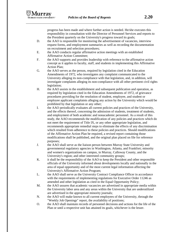progress has been made and where further action is needed. He/she executes this responsibility in consultation with the Director of Personnel Services and reports to the President quarterly on the University's progress toward its goals;

- D. the AAO is responsible for monitoring the advertisement of vacancies, interview request forms, and employment summaries as well as recording the documentation on recruitment and selection procedures;
- E. the AAO conducts regular affirmative action meetings with an established Affirmative Action Committee;
- F. the AAO supports and provides leadership with reference to the affirmative action concept as it applies to faculty, staff, and students in implementing this Affirmative Action Plan;
- G. the AAO serves as the person, required by legislation cited in the Education Amendments of 1972, who investigates any complaint communicated to the University alleging its non-compliance with that legislation, and, in addition, will investigate complaints alleging its non-compliance with all other pertinent civil rights legislation;
- H. the AAO assists in the establishment and subsequent publication and operation, as required by legislation cited in the Education Amendments of 1972, of grievance procedures providing for the resolution of student, employee, and student or employee applicant complaints alleging any action by the University which would be prohibited by that legislation or any other;
- I. the AAO periodically evaluates all current policies and practices of the University, and the effects thereof, concerning the admission of students, treatment of students, and employment of both academic and nonacademic personnel. As a result of this study, the AAO recommends the modification of any policies and practices which do not meet the requirement of Title IX, or any other appropriate legislation, and recommends appropriate remedial steps to eliminate the effects of any discrimination which resulted from adherence to these policies and practices. Should modifications of the Affirmative Action Plan be required, a revised report containing those modifications shall be published, and the original plan placed on file for reference purposes;
- J. the AAO shall serve as the liaison person between Murray State University and governmental regulatory agencies in Washington, Atlanta, and Frankfort; minority and women's organizations on campus, in Murray, Calloway County, and the University's region; and other interested community groups;
- K. it shall be the responsibility of the AAO to keep the President and other responsible officials of the University informed about developments locally and nationally in the area of equal opportunity and of the most current legal information affecting the University's Affirmative Action Program;
- L. the AAO shall serve as the University Contract Compliance Officer in accordance with the requirements of implementing regulations for Executive Order 11246 as amended and other legislation as cited in the Equal Opportunity Policy;
- M. the AAO assures that academic vacancies are advertised in appropriate media within the University labor area and any areas within the University that are underutilized are advertised in the appropriate minority journals;
- N. the AAO will make known to all current employees of the University, through the "Weekly Job Openings" report, the availability of positions;
- O. the AAO shall maintain records of personnel decisions and actions for the life of the Plan or until a respective unit has attained its goals, whichever is the lesser.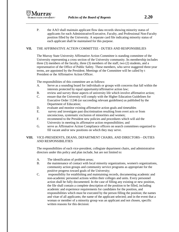P. the AAO shall maintain applicant flow data records showing minority status of applicants for each Administrative/Executive, Faculty, and Professional Non-Faculty position filled by the University. A separate card file indicating minority status of each applicant shall be maintained for this purpose.

## **VII.** THE AFFIRMATIVE ACTION COMMITTEE - DUTIES AND RESPONSIBILIES

The Murray State University Affirmative Action Committee is standing committee of the University representing a cross section of the University community. Its membership includes three (3) members of the faculty, three (3) members of the staff, two (2) students, and a representative of the Office of Public Safety. These members, who serve staggered three-year terms, are appointed by the President. Meetings of the Committee will be called by t President or the Affirmative Action Officer.

The responsibilities of this committee are as follows:

lirray

- A. Serve as a sounding board for individuals or groups with concerns that fall within the interests protected by equal opportunity/affirmative action law;
- B. review and survey those aspects of university life which involve affirmative action;
- C. ensure that the University will comply with the Higher Education Guidelines for Executive Order 11246 (or succeeding relevant guidelines) as published by the Department of Education;
- D. evaluate and monitor existing affirmative action goals and timetables
- E. survey and investigate past discrimination resulting from overt acts or from unconscious, systematic exclusion of minorities and women;
- F. recommend to the President new policies and procedures which will aid the University in meeting its affirmative action responsibilities; and
- G. serve as Affirmative Action Compliance officers on search committees organized to fill vacant and/or new positions on which they may serve.

## **VIII.** VICE-PRESIDENTS, DEANS, DEPARTMENT CHAIRS, AND DIRECTORS—DUTIES AND RESPONSIBILITIES

The responsibilities of each vice-president, collegiate department chairs, and administrative directors under this policy and plan include, but are not limited to:

- A. The identification of problem areas;
- B. the maintenance of contact with local minority organizations, women's organizations, community action groups and community service programs as appropriate for the positive progress toward goals of the University;
- C. responsibility for establishing and maintaining records, documenting academic and non-academic personnel actions within their colleges and units. Every personnel action shall be fully documented. In the case of filling any existing or new position, the file shall contain a complete description of the position to be filled, including academic and experience requirements for candidates for the position, and responsibilities which must be executed by the person filling the position; the names and vitae of all applicants; the name of the applicant selected; and in the event that a woman or member of a minority group was an applicant and not chosen, specific written reasons for this decision: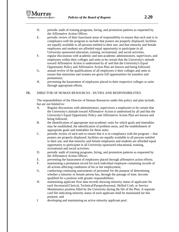- D. periodic audit of training programs, hiring, and promotion patterns as requested by the Affirmative Action Officer;
- E. periodic review of their functional areas of responsibility to ensure that each unit is in compliance with the program to include that posters are properly displayed; facilities are equally available to all persons entitled to their use; and that minority and female employees and students are afforded equal opportunity to participate in all University-sponsored education, training, recreational, and social activities,
- F. regular discussions with academic and non-academic administrators, supervisors, and employees within their colleges and units to be certain that the University's attitude toward Affirmative Action is understood by al' and that the University's Equal Opportunity Policy and Affirmative Action Plan are known and being followed;
- G. annual review of the qualifications of all employees ii their colleges and units to ensure that minorities and women are given full opportunities for transfers and promotions;
- H. preventing the harassment of employees placed in their respective colleges or units through appropriate efforts.

## **IX.** DIRECTOR OF HUMAN RESOURCES - DUTIES AND RESPONSIBILITIES

The responsibilities of the Director of Human Resources under this policy and plan include, but are not limited to:

- A. Regular discussions with administrators, supervisors a employees to be certain that the University's attitude toward Affirmative Action is understood by all and that the University's Equal Opportunity Policy and Affirmative Action Plan are known and being followed;
- B. the identification of appropriate non-academic units for which goals and timetables may be established, the identification of problem areas, and the establishment of appropriate goals and timetables for these units;
- C. periodic review of each unit to ensure that it is in compliance with the program -- that posters are properly displayed; facilities are equally available to all persons entitled to their use; and that minority and female employees and students are afforded equal opportunity to participate in all University-sponsored educational, training, recreational and social activities;
- D. periodic audit of training programs, hiring, and promotion patterns as requested by the Affirmative Action Officer;
- E. preventing the harassment of employees placed through affirmative action efforts;
- F. maintaining a permanent record for each individual employee containing records of all actions affecting conditions of his or her employment;
- G. conducting continuing assessments of personnel for the purpose of determining whether a minority or female person has, through the passage of time, become qualified for a position with greater responsibilities;
- H. maintaining applicant flow data records showing minority status of applicants for each Secretarial/Clerical, Technical/Paraprofessional, Skilled Craft, or Service Maintenance position filled by the University during the life of the Plan. A separate card file indicating minority status of each applicant shall be maintained for this purpose; and
- I. developing and maintaining an active minority applicant pool.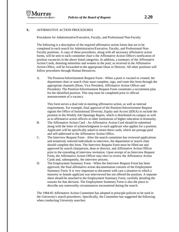

## **X.** AFFIRMATIVE ACTION PROCEDURES

Procedures for Administrative/Executive, Faculty, and Professional Non-Faculty

The following is a description of the required affirmative action forms that are to be completed in each search for Administrative/Executive, Faculty, and Professional Non-Faculty positions. A copy of these procedures, along with all necessary affirmative action forms, will be sent to each committee chair u the Affirmative Action Office's notification of position vacancies in the above listed categories. In addition, a summary of the Affirmative Action Cards, denoting minorities and women in the pool, as received in the Affirmative Action Office, will be forwarded to the appropriate Dean or Director. All other positions will follow procedures through Human Resources.

A. The Position/Advertisement Request Form - When a posit is vacated or created, the department chair or search chair must complete, sign, and route this form through the appropriate channels (Dean, Vice President, Affirmative Action Officer and President). The Position/Advertisement Request Form constitutes a recruitment plan for the identified position. This step must be completed prior to official announcement of a vacancy.

This form serves a dual role in meeting affirmative action, as well as internal requirements. For example, final approval of the Position/Advertisement Request signals the Office of Institutional Diversity, Equity and Access (IDEA) to include the position in the Weekly Job Openings Report, which is distributed on campus as well as to affirmative action officers at other institutions of higher education in Kentucky.

- B. The Affirmative Action Card An Affirmative Action Card should be submitted along with the letter of acknowledgment to each applicant who applies for a position. Applicants will be specifically asked to return these cards, which are postage-paid and self-addressed to the Affirmative Action Office.
- C. The Interview Request Form After the search committee has reviewed applications and tentatively selected individuals to interview, the department or search chair should complete this form. The Interview Request Form must be filled out and approved by search chairperson, dean or director, and Affirmative Action Officer prior to the extending of interview invitation. Upon receipt of an Interview Request Form, the Affirmative Action Officer may elect to review the Affirmative Action Cards and, subsequently, the interview process.
- D. The Employment Summary Form When the Interview Request Form has been approved, the final affirmative action documentation consists of the Employment Summary Form. It is very important to document with care a situation in which a minority or female applicant was interviewed but not offered the position. A separate sheet should be attached to the Employment Summary Form, carefully detailing the reasons for that decision. The Employment Summary Form is also the place to describe any noteworthy circumstances encountered during the search.

The 1984-85 Affirmative Action Committee has adopted in principle policies to be used in the University's search procedures. Specifically, the Committee has suggested the following when conducting University searches: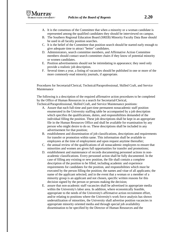- A. It is the consensus of the Committee that when a minority or a woman candidate is represented among the qualified candidates they should be interviewed on campus.
- B. The Southern Regional Education Board (SREB) Minority Faculty Data Base should be used in all faculty position searches.
- C. It is the belief of the Committee that position search should be started early enough to give adequate time to attract "better" candidates.
- D. Administrators, search committee members, and Affirmative Action Committee members should contact search committee chairs if they know of potential minority or women candidates.
- E. Position advertisements should not be intimidating in appearance; they need only provide a realistic job description.
- F. Several times a year, a listing of vacancies should be published in one or more of the more commonly-read minority journals, if appropriate.

Procedures for Secretarial/Clerical, Technical/Paraprofessional, Skilled Craft, and Service Maintenance

The following is a description of the required affirmative action procedures to be completed by the Office of Human Resources in a search for Secretarial/Clerical, Technical/Paraprofessional, Skilled Craft, and Service Maintenance positions:

- A. Assure that each full-time and part-time permanent nonacademic staff position enumerated in the University staffing table be accompanied by a job description which specifies the qualifications, duties, and responsibilities demanded of the individual filling the position. These job descriptions shall be kept in an appropriate file in the Human Resources Office and shall be available for examination by any person who might desire to do so. These descriptions shall be included in any advertisement for that position;
- B. establishment and dissemination of job classifications, descriptions and requirements for transfer or promotion within same. This information shall be available to employees at the time of employment and upon request anytime thereafter;
- C. the annual review of the qualifications of all nonacademic employees to ensure that minorities and women are given full opportunities for transfer and promotions;
- D. establishment and maintenance of records documenting personnel actions in nonacademic classifications. Every personnel action shall be fully documented. In the case of filling any existing or new position, the file shall contain a complete description of the position to be filled, including academic and experience requirements for candidates for the position, and responsibilities which must be executed by the person filling the position; the names and vitae of all applicants; the name of the applicant selected; and in the event that a woman or a member of a minority group is an applicant and not chosen, specific written reasons for this decision signed by the person or persons making the decision;
- E. assure that non-academic staff vacancies shall be advertised in appropriate media within the University's labor area. In addition, where economically feasible, appropriate to the needs of the University's affirmative action recruitment effort, and/or relating to positions where the University's work force analysis has shown underutilization of minorities, the University shall advertise position vacancies in appropriate minority oriented media and through special job availability dissemination to be specified by the Director of Human Resources and the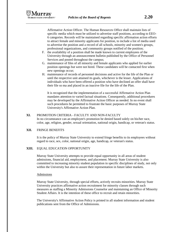Affirmative Action Officer. The Human Resources Office shall maintain lists of specific media which must be utilized to advertise staff positions, according to EEO-6 categories. Records will be maintained regarding specific affirmation action efforts to attract female and minority applicants for position, to include a list of media used to advertise the position and a record of all schools, minority and women's groups, professional organizations, and community groups notified of the position;

- F. the availability of a position shall be made known to current employees of the University through an announcement bulletin published by the Office of Personnel Services and posted throughout the campus;
- G. maintenance of files of all minority and female applicants who applied for earlier position openings but were not hired. These candidates will be contacted first when new openings occur;
- H. maintenance of records of personnel decisions and active for the life of the Plan or until the respective unit attained its goals, whichever is the lesser. Applications of individuals who have been offered a position who have declined an offer shall have their file so ma and placed in an inactive file for the life of the Plan.

It is recognized that the implementation of a successful Affirmative Action Plan mandates attention to varied factual situations. Consequently, additional procedures may be developed by the Affirmative Action Officer as needed. In no event shall such procedures be permitted to frustrate the basic purposes of Murray State University's Affirmative Action Plan.

## **XI.** PROMOTION CRITERIA - FACULTY AND NON-FACULTY

In no circumstance can an employee's promotion be denied based solely on his/her race, color, age, religion, gender, sexual orientation, national origin, handicap, or veteran's status.

### **XII.** FRINGE BENEFITS

It is the policy of Murray State University to extend fringe benefits to its employees without regard to race, sex, color, national origin, age, handicap, or veteran's status.

## **XIII.** EQUAL EDUCATION OPPORTUNITY

Murray State University attempts to provide equal opportunity in all areas of student admissions, financial aid, employment, and placement. Murray State University is also committed to increasing minority student population in specific disciplines of study, not only within the University but also to assure their representation in future labor markets.

### Admissions

Murray State University, through special efforts, actively recruits minorities. Murray State University practices affirmative action recruitment for minority classes through such measures as staffing a Minority Admissions Counselor and maintaining an Office of Minority Student Affairs. It is the intention of these office to recruit and retain minorities.

The University's Affirmative Action Policy is printed in all student information and student publications sent from the Office of Admissions.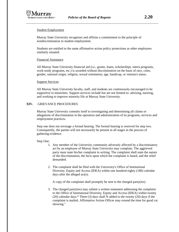

### Student Employment

Murray State University recognizes and affirms a commitment to the principle of nondiscrimination in student employment.

Students are entitled to the same affirmative action policy protections as other employees similarly situated.

### Financial Assistance

All Murray State University financial aid (i.e., grants, loans, scholarships, intern programs, work-study programs, etc.) is awarded without discrimination on the basis of race, color, gender, national origin, religion, sexual orientation, age, handicap, or veteran's status.

### **Support Services**

All Murray State University faculty, staff, and students are continuously encouraged to be supportive to minorities. Support services include but are not limited to: advising, tutoring, and working to improve minority life at Murray State University.

## **XIV.** GRIEVANCE PROCEDURES

Murray State University commits itself to investigating and determining all claims or allegations of discrimination in the operation and administration of its programs, services and employment practices.

Step one does not envisage a formal hearing. The formal hearing is reserved for step two. Consequently, the parties will not necessarily be present in all stages in the process of gathering evidence.

## Step One:

- 1. Any member of the University community adversely affected by a discriminatory act by an employee of Murray State University may complain. The aggrieved party must state his/her complaint in writing. The complaint shall state the nature of the discrimination, the facts upon which the complaint is based, and the relief demanded.
- 2. The complaint shall be filed with the University's Office of Institutional Diversity, Equity and Access (IDEA) within one hundred eighty (180) calendar days after the alleged act(s).

A copy of the complaint shall promptly be sent to the charged party(ies).

3. The charged party(ies) may submit a written statement addressing the complaint to the Office of Institutional Diversity, Equity and Access (IDEA) within twenty (20) calendar days.\* Three (3) days shall N added to the twenty (20) days if the complaint is mailed. Affirmative Action Officer may extend the time for good cat showing."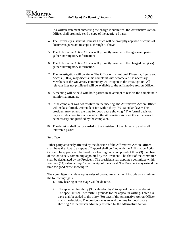If a written statement answering the charge is submitted, the Affirmative Action Officer shall promptly send a copy of the aggrieved party.

- 4. The University's General Counsel Office will be promptly apprised of copies of documents pursuant to steps 1. through 3. above.
- 5. The Affirmative Action Officer will promptly meet with the aggrieved party to gather investigatory information;
- 6. The Affirmative Action Officer will promptly meet with the charged party(ies) to gather investigatory information.
- 7. The investigation will continue. The Office of Institutional Diversity, Equity and Access (IDEA) may discuss this complaint with whomever it is necessary. Members of the University community will cooper; in the investigation. All relevant files not privileged will be available to the Affirmative Action Officer.
- 8. A meeting will be held with both parties in an attempt to resolve the complaint in an informal manner.
- 9. If the complaint was not resolved in the meeting, the Affirmative Action Officer will make a formal, written decision within thirty (30) calendar days.\* The president may extend the time for good cause showing." The formal decision may include corrective action which the Affirmative Action Officer believes to be necessary and justified by the complaint.
- 10. The decision shall be forwarded to the President of the University and to all interested parties.

## Step Two:

Either party adversely affected by the decision of the Affirmative Action Officer shall have the right to an appeal. T appeal shall be filed with the Affirmative Action Office. The appeal shall be heard by a hearing body composed of three (3) members of the University community appointed by the President. The chair of the committee shall be designated by the President. The president shall appoint a committee within fourteen (14) calendar days\* after receipt of the appeal. The President may extend the time for good cause showing.\*\*

The committee shall develop its rules of procedure which will include as a minimum the following rights:

- 1. Any hearing at this stage will be de novo.
- 2. The appellant has thirty (30) calendar days\* to appeal the written decision. The appellant shall set forth t1 grounds for the appeal in writing. Three (3) days shall be added to the thirty (30) days if the Affirmative Action Officer mails the decision. The president may extend the time for good cause showing." If the person adversely affected by the Affirmative Action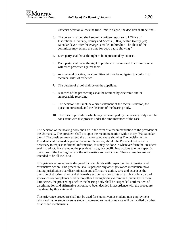Officer's decision allows the time limit to elapse, the decision shall be final.

- 3. The person charged shall submit a written response to I Office of Institutional Diversity, Equity and Access (IDEA) within twenty (20) calendar days\* after the charge is mailed to him/her. The chair of the committee may extend the time for good cause showing."
- 4. Each party shall have the right to be represented by counsel.
- 5. Each party shall have the right to produce witnesses and to cross-examine witnesses presented against them.
- 6. As a general practice, the committee will not be obligated to conform to technical rules of evidence.
- 7. The burden of proof shall be on the appellant.
- 8. A record of the proceedings shall be retained by electronic and/or stenographic recording.
- 9. The decision shall include a brief statement of the factual situation, the question presented, and the decision of the hearing body.
- 10. The rules of procedure which may be developed by the hearing body shall be consistent with due process under the circumstances of the case.

The decision of the hearing body shall be in the form of a recommendation to the president of the University. The president shall act upon the recommendation within thirty (30) calendar days.\* The president may extend the time for good cause showing The decision of the President shall be made a part of the record however, should the President believe it is necessary to request additional information, this may be done in whatever form the President seeks to adopt. For example, the president may give specific instructions to or ask specific questions of the hearing body or the Affirmative Action Officer. These examples are not intended to be all inclusive.

This grievance procedure is designed for complaints with respect to discrimination and affirmative action. This procedure shall supersede any other grievance mechanism now having jurisdiction over discrimination and affirmative action, save and except as the question of discrimination and affirmative action may constitute a part, but only a part, of grievances or complaints filed before other hearing bodies within the University. In these latter cases, the proceedings before the hearing body shall be suspended until matters of discrimination and affirmative action have been decided in accordance with the procedure mandated by this statement.

This grievance procedure shall not be used for student versus student, non-employment relationships. A student versus student, non-employment grievance will be handled by other established mechanisms.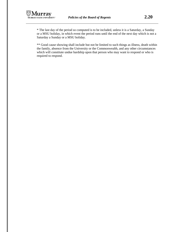

\* The last day of the period so computed is to be included, unless it is a Saturday, a Sunday or a MSU holiday, in which event the period runs until the end of the next day which is not a Saturday a Sunday or a MSU holiday.

\*\* Good cause showing shall include but not be limited to such things as illness, death within the family, absence from the University or the Commonwealth, and any other circumstances which will constitute undue hardship upon that person who may want to respond or who is required to respond.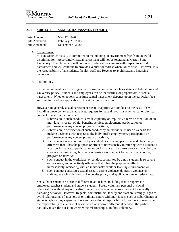

### **2.21 SUBJECT: SEXUAL HARASSMENT POLICY**

| Date Adopted: | May 12, 1990       |
|---------------|--------------------|
| Date Amended: | February 29, 2008  |
| Date Amended: | December 4, $2020$ |

#### A. Commitment.

Murray State University is committed to maintaining an environment free from unlawful discrimination. Accordingly, sexual harassment will not be tolerated at Murray State University. The University will continue to educate the campus with respect to sexual harassment and will continue to provide avenues for redress when issues arise. However, it is the responsibility of all students, faculty, staff and Regents to avoid sexually harassing behaviors.

B. Definitions.

Sexual harassment is a form of gender discrimination which violates state and federal law and University policy. Students and employees can be the victims, or perpetrators, of sexual harassment. Whether actions constitute sexual harassment depends upon the particular facts surrounding, and law applicable to, the situation in question.

However, in general, sexual harassment means inappropriate conduct on the basis of sex, including unwelcome sexual advances, requests for sexual favors or other verbal or physical conduct of a sexual nature when:

- 1. submission to such conduct is made explicitly or implicitly a term or condition of an individual's receipt of aid, benefits, service, employment, participation or performance in any course, program or activity;
- 2. submission to or rejection of such conduct by an individual is used as a basis for making decisions with respect to the individual's employment, participation or performance in any course, program or activity;
- 3. such conduct when committed by a student is so severe, pervasive and objectively offensive that it has the purpose or effect of unreasonably interfering with a student's work performance or participation or performance in a course, program or activity or creates an intimidating, hostile or offensive environment for work or any course, program or activity;
- 4. such conduct in the workplace, or conduct committed by a non-student, is so severe or pervasive, and objectively offensive that it has the purpose or effect of unreasonably interfering with an individual's work or learning environment; or
- 5. such conduct constitutes sexual assault, dating violence, domestic violence or stalking as each is defined by University policy and applicable state or federal law.

Sexual harassment can occur in different relationships, including that of supervisoremployee, teacher-student and student-student. Purely voluntary personal or social relationships without any of the discriminatory effects noted above may not be sexually harassing behavior. However, Regents, administrators, faculty and staff are strongly urged to avoid relationships of an amorous or intimate nature with individuals, such as subordinates or students, whom they supervise, have an instructional responsibility for or have or may have the responsibility to evaluate. The existence of a power differential between the parties naturally raises the question whether the relationship is, in fact, voluntary.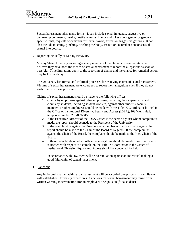

Sexual harassment takes many forms. It can include sexual innuendo, suggestive or demeaning comments, insults, hostile remarks, humor and jokes about gender or genderspecific traits, requests or demands for sexual favors, threats or suggestive gestures. It can also include touching, pinching, brushing the body, assault or coerced or nonconsensual sexual intercourse.

### C. Reporting Sexually Harassing Behavior.

Murray State University encourages every member of the University community who believes they have been the victim of sexual harassment to report the allegations as soon as possible. Time limitations apply to the reporting of claims and the chance for remedial action may be lost by delay.

The University has formal and informal processes for resolving claims of sexual harassment. Victims of sexual harassment are encouraged to report their allegations even if they do not wish to utilize these processes.

Claims of sexual harassment should be made to the following offices:

- 1. Claims by employees against other employees, including their supervisors, and claims by students, including student workers, against other students, faculty members or other employees should be made with the Title IX Coordinator located in the Office of Institutional Diversity, Equity and Access (IDEA), 103 Wells Hall, telephone number 270-809-3155.
- 2. If the Executive Director of the IDEA Office is the person against whom complaint is made, the report should be made to the President of the University.
- 3. If the complaint is against the President or a member of the Board of Regents, the report should be made to the Chair of the Board of Regents. If the complaint is against the Chair of the Board, the complaint should be made to the Vice Chair of the Board.
- 4. If there is doubt about which office the allegations should be made to or if assistance is needed with respect to a complaint, the Title IX Coordinator in the Office of Institutional Diversity, Equity and Access should be contacted for help.

In accordance with law, there will be no retaliation against an individual making a good faith claim of sexual harassment.

### D. Sanctions.

Any individual charged with sexual harassment will be accorded due process in compliance with established University procedures. Sanctions for sexual harassment may range from written warning to termination (for an employee) or expulsion (for a student).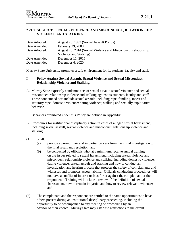# **2.21.1 SUBJECT: SEXUAL VIOLENCE AND MISCONDUCT, RELATIONSHIP VIOLENCE AND STALKING**

| Date Adopted: | August 28, 1993 (Sexual Assault Policy)                                                 |
|---------------|-----------------------------------------------------------------------------------------|
| Date Amended: | February 29, 2008                                                                       |
| Date Adopted: | August 28, 2014 (Sexual Violence and Misconduct, Relationship<br>Violence and Stalking) |
| Date Amended: | December 11, 2015                                                                       |
| Date Amended: | December 4, 2020                                                                        |

Murray State University promotes a safe environment for its students, faculty and staff.

## **I. Policy Against Sexual Assault, Sexual Violence and Sexual Misconduct, Relationship Violence and Stalking.**

A. Murray State expressly condemns acts of sexual assault, sexual violence and sexual misconduct, relationship violence and stalking against its students, faculty and staff. These condemned acts include sexual assault, including rape, fondling, incest and statutory rape; domestic violence; dating violence; stalking and sexually exploitative behavior.

Behaviors prohibited under this Policy are defined in Appendix I.

- B. Procedures for institutional disciplinary action in cases of alleged sexual harassment, including sexual assault, sexual violence and misconduct, relationship violence and stalking:
- (1) Shall:
	- (a) provide a prompt, fair and impartial process from the initial investigation to the final result and resolution; and
	- (b) be conducted by officials who, at a minimum, receive annual training on the issues related to sexual harassment, including sexual violence and misconduct, relationship violence and stalking, including domestic violence, dating violence, sexual assault and stalking and how to conduct an investigation and hearing process that protects the safety of complainants and witnesses and promotes accountability. Officials conducting proceedings will not have a conflict of interest or bias for or against the complainant or the respondent. Training will include a review of the definition of sexual harassment, how to remain impartial and how to review relevant evidence; and
- (2) The complainant and the respondent are entitled to the same opportunities to have others present during an institutional disciplinary proceeding, including the opportunity to be accompanied to any meeting or proceeding by an advisor of their choice. Murray State may establish restrictions to the extent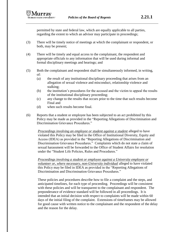permitted by state and federal law, which are equally applicable to all parties, regarding the extent to which an advisor may participate in proceedings;

- (3) There will be timely notice of meetings at which the complainant or respondent, or both, may be present;
- (4) There will be timely and equal access to the complainant, the respondent and appropriate officials to any information that will be used during informal and formal disciplinary meetings and hearings; and
- (5) Both the complainant and respondent shall be simultaneously informed, in writing, of:
	- (a) the result of any institutional disciplinary proceeding that arises from an allegation of sexual violence and misconduct, relationship violence and stalking;
	- (b) the institution's procedures for the accused and the victim to appeal the results of the institutional disciplinary proceeding;
	- (c) any change to the results that occurs prior to the time that such results become Final and
	- (d) when such results become final.
- (6) Reports that a student or employee has been subjected to an act prohibited by this Policy may be made as provided in the "Reporting Allegations of Discrimination and Discrimination Grievance Procedures."

*Proceedings involving an employee or student against a student* alleged to have violated this Policy may be filed in the Office of Institutional Diversity, Equity and Access (IDEA) as provided in the "Reporting Allegations of Discrimination and Discrimination Grievance Procedures." Complaints which do not state a claim of sexual harassment will be forwarded to the Office of Student Affairs for resolution under the "Student Life Policies, Rules and Procedures."

*Proceedings involving a student or employee against a University employee or volunteer or, where necessary, non-University individual* alleged to have violated this Policy may be filed in IDEA as provided in the "Reporting Allegations of Discrimination and Discrimination Grievance Procedures."

These policies and procedures describe how to file a complaint and the steps, and anticipated timelines, for each type of proceeding. Proceedings will be consistent with these policies and will be transparent to the complainant and respondent. The preponderance of evidence standard will be followed in all proceedings. It is intended that an initial decision with respect to complaints will be made within 60 days of the initial filing of the complaint. Extensions of timeframes may be allowed for good cause with written notice to the complainant and the respondent of the delay and the reason for the delay.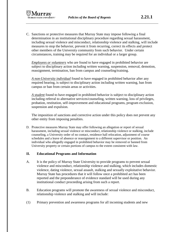C. Sanctions or protective measures that Murray State may impose following a final determination in an institutional disciplinary procedure regarding sexual harassment, including sexual violence and misconduct, relationship violence and stalking, will include measures to stop the behavior, prevent it from recurring, correct its effects and protect other members of the University community from such behavior. Under certain circumstances, training may be required for an individual or a larger group.

*Employees or volunteers* who are found to have engaged in prohibited behavior are subject to disciplinary action including written warning, suspension, removal, demotion, reassignment, termination, ban from campus and counseling/training.

*A non-University individual* found to have engaged in prohibited behavior after any required hearing, is subject to disciplinary action including written warning, ban from campus or ban from certain areas or activities.

*A student* found to have engaged in prohibited behavior is subject to disciplinary action including referral to alternative services/counseling, written warning, loss of privileges, probation, restitution, self-improvement and educational programs, program exclusion, suspension and expulsion.

The imposition of sanctions and corrective action under this policy does not prevent any other entity from imposing penalties.

D. Protective measures Murray State may offer following an allegation or report of sexual harassment, including sexual violence or misconduct, relationship violence or stalking, include counseling, a University order of no contact, residence hall relocation, adjustment of course schedules and a leave of absence or reassignment to a different supervisor or position. An individual who allegedly engaged in prohibited behavior may be removed or banned from University property or certain portions of campus to the extent consistent with law.

## **II. Educational Programs and Information**

- A. It is the policy of Murray State University to provide programs to prevent sexual violence and misconduct, relationship violence and stalking, which includes domestic violence, dating violence, sexual assault, stalking and sexually exploitative behavior. Murray State has procedures that it will follow once a prohibited act has been reported and the preponderance of evidence standard will be used during any institutional conduct proceeding arising from such a report.
- B. Education programs will promote the awareness of sexual violence and misconduct, relationship violence and stalking and will include:
- (1) Primary prevention and awareness programs for all incoming students and new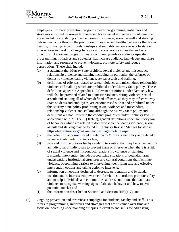

employees. Primary prevention programs means programming, initiatives and strategies informed by research or assessed for value, effectiveness or outcome that are intended to stop dating violence, domestic violence, sexual assault and stalking before they occur through the promotion of positive and healthy behaviors that foster healthy, mutually-respectful relationships and sexuality, encourage safe bystander intervention and seek to change behavior and social norms in healthy and safe directions. Awareness programs means community-wide or audience-specific programming, initiatives and strategies that increase audience knowledge and share information and resources to prevent violence, promote safety and reduce perpetration. These shall include:

- (a) a statement that Murray State prohibits sexual violence and misconduct, relationship violence and stalking including, in particular, the offenses of domestic violence, dating violence, sexual assault and stalking;
- (b) definitions of offenses related to sexual violence and misconduct, relationship violence and stalking which are prohibited under Murray State policy. These definitions appear in Appendix I. Relevant definitions under Kentucky law will also be provided related to domestic violence, dating violence, sexual assault and stalking all of which defined offenses, as they may affect Murray State students and employees, are encompassed within and prohibited under this Murray State policy prohibiting sexual violence and misconduct, relationship violence and stalking although the Murray State policy and definitions are not limited to the conduct prohibited under Kentucky law. In accordance with 20 U.S.C. §1092(f), general definitions under Kentucky law of behaviors which are related to domestic violence, dating violence, sexual assault and stalking may be found in Kentucky Revised Statutes located at [https://legislature.ky.gov/Law/Statutes/Pages/default.aspx.](https://legislature.ky.gov/Law/Statutes/Pages/default.aspx)
- (c) the definition of consent used in relation to Murray State policy and related to sexual activity under Kentucky law;
- (d) safe and positive options for bystander intervention that may be carried out by an individual or individuals to prevent harm or intervene when there is a risk of sexual violence and misconduct, relationship violence or stalking. Bystander intervention includes recognizing situations of potential harm, understanding institutional structures and cultural conditions that facilitate violence, overcoming barriers to intervening, identifying safe and effective intervention options and taking action to intervene;
- (e) information on options designed to decrease perpetration and bystander inaction and to increase empowerment for victims in order to promote safety and to help individuals and communities address conditions that facilitate violence to recognize warning signs of abusive behavior and how to avoid potential attacks; and
- (f) the information described in Section I and Section II(B)(1-7); and
- (2) Ongoing prevention and awareness campaigns for students, faculty and staff. This refers to programming, initiatives and strategies that are sustained over time and focus on increasing understanding of topics relevant to and skills for addressing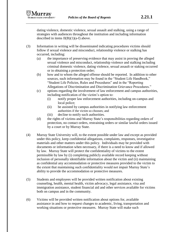

dating violence, domestic violence, sexual assault and stalking, using a range of strategies with audiences throughout the institution and including information described in items  $II(B)(1)(a-f)$  above.

- (3) Information in writing will be disseminated indicating procedures victims should follow if sexual violence and misconduct, relationship violence or stalking has occurred, including:
	- (a) the importance of preserving evidence that may assist in proving the alleged sexual violence and misconduct, relationship violence and stalking including criminal domestic violence, dating violence, sexual assault or staking occurred or in obtaining a protection order;
	- (b) how and to whom the alleged offense should be reported. In addition to other sources, such information may be found in the "Student Life Handbook," "Student Life Policies, Rules and Procedures" and in the "Reporting Allegations of Discrimination and Discrimination Grievance Procedures."
	- (c) options regarding the involvement of law enforcement and campus authorities, including notification of the victim's option to:
		- (i) notify proper law enforcement authorities, including on-campus and local police;
		- (ii) be assisted by campus authorities in notifying law enforcement authorities if the victim so chooses; and
		- (iii) decline to notify such authorities.
	- (d) the rights of victims and Murray State's responsibilities regarding orders of protection, no contact orders, restraining orders or similar lawful orders issued by a court or by Murray State.
- (4) Murray State University will, to the extent possible under law and except as provided under this policy, keep confidential allegations, complaints, responses, investigative materials and other matters under this policy. Individuals may be provided with documents or information when necessary, if there is a need to know and if allowed by law. Murray State will protect the confidentiality of victims to the extent permissible by law by (i) completing publicly available record keeping without inclusion of personally identifiable information about the victim and (ii) maintaining as confidential any accommodation or protective measures provided to the victim to the extent that maintaining such confidentiality would not impair Murray State's ability to provide the accommodation or protective measures.
- (5) Students and employees will be provided written notification about existing counseling, health, mental health, victim advocacy, legal assistance, visa and immigration assistance, student financial aid and other services available for victims both on campus and in the community.
- (6) Victims will be provided written notification about options for, available assistance in and how to request changes to academic, living, transportation and working situations or protective measures. Murray State will make such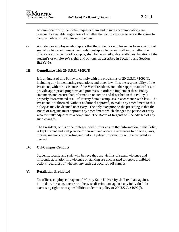

accommodations if the victim requests them and if such accommodations are reasonably available, regardless of whether the victim chooses to report the crime to campus police or local law enforcement.

(7) A student or employee who reports that the student or employee has been a victim of sexual violence and misconduct, relationship violence and stalking, whether the offense occurred on or off campus, shall be provided with a written explanation of the student's or employee's rights and options, as described in Section I and Section  $II(B)(3-6)$ .

# **III. Compliance with 20 U.S.C.** §**1092(f)**

It is an intent of this Policy to comply with the provisions of 20 U.S.C. §1092(f), including any implementing regulations and other law. It is the responsibility of the President, with the assistance of the Vice Presidents and other appropriate offices, to provide appropriate programs and processes in order to implement these Policy statements and ensure that information related to and described in this Policy is properly disseminated at all of Murray State's campuses in accordance with law. The President is authorized, without additional approval, to make any amendment to this policy as may be deemed necessary. The only exception to the preceding is that the Board of Regents must approve any amendment which changes the person or entity who formally adjudicates a complaint. The Board of Regents will be advised of any such changes.

The President, or his or her delegee, will further ensure that information in this Policy is kept current and will provide for current and accurate references to policies, laws, offices, methods of reporting and links. Updated information will be provided as needed.

# **IV. Off-Campus Conduct**

Students, faculty and staff who believe they are victims of sexual violence and misconduct, relationship violence or stalking are encouraged to report prohibited actions regardless of whether any such act occurred off campus.

## **V. Retaliation Prohibited**

No officer, employee or agent of Murray State University shall retaliate against, intimidate, threaten, coerce or otherwise discriminate against any individual for exercising rights or responsibilities under this policy or 20 U.S.C. §1092(f).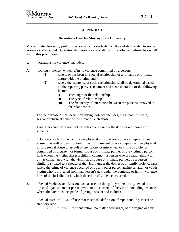# **APPENDIX I**

## **Definitions Used by Murray State University**

Murray State University prohibits acts against its students, faculty and staff related to sexual violence and misconduct, relationship violence and stalking. The offenses defined below fall within this prohibition:

- 1. "Relationship violence" includes:
- A. "Dating violence" which refers to violence committed by a person:
	- **(1)** who is or has been in a social relationship of a romantic or intimate nature with the victim; and
	- **(2)** where the existence of such a relationship shall be determined based on the reporting party's statement and a consideration of the following factors:
		- (i) The length of the relationship.
		- (ii) The type of relationship.
		- (iii) The frequency of interaction between the persons involved in the relationship.

For the purpose of this definition dating violence includes, but is not limited to, sexual or physical abuse or the threat of such abuse.

Dating violence does not include acts covered under the definition of domestic violence.

- B. "Domestic violence" which means physical injury, serious physical injury, sexual abuse or assault or the infliction of fear of imminent physical injury, serious physical injury, sexual abuse or assault or any felony or misdemeanor crime of violence committed by a current or former spouse or intimate partner of the victim; a person with whom the victim shares a child in common; a person who is cohabitating with, or has cohabitated with, the victim as a spouse or intimate partner; by a person similarly situated to a spouse of the victim under the domestic or family violence laws where the crime of violence occurred or by any other person against an adult or youth victim who is protected from that person's acts under the domestic or family violence laws of the jurisdiction in which the crime of violence occurred.
- 2. "Sexual Violence and Misconduct" as used in this policy refers to any sexual act directed against another person, without the consent of the victim, including instances where the victim is incapable of giving consent and includes:
- A. "Sexual Assault" An offense that meets the definition of rape, fondling, incest or statutory rape.
	- (i) "Rape" the penetration, no matter how slight, of the vagina or anus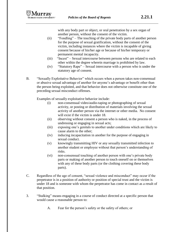with any body part or object, or oral penetration by a sex organ of another person, without the consent of the victim.

- (ii) "Fondling" The touching of the private body parts of another person for the purpose of sexual gratification, without the consent of the victim, including instances where the victim is incapable of giving consent because of his/her age or because of his/her temporary or permanent mental incapacity.
- (iii) "Incest" Sexual intercourse between persons who are related to each other within the degree wherein marriage is prohibited by law.
- (iv) "Statutory Rape" Sexual intercourse with a person who is under the statutory age of consent.
- B. "Sexually Exploitative Behavior" which occurs when a person takes non-consensual or abusive sexual advantage of another for anyone's advantage or benefit other than the person being exploited, and that behavior does not otherwise constitute one of the preceding sexual misconduct offenses.

Examples of sexually exploitative behavior include:

- (i) non-consensual video/audio-taping or photographing of sexual activity, or posting or distribution of materials involving the sexual activity of another person via the internet or other media. No consent will exist if the victim is under 18.
- (ii) observing without consent a person who is naked, in the process of undressing or engaging in sexual acts;
- (iii) exposing one's genitals to another under conditions which are likely to cause alarm to the other;
- (iv) inducing incapacitation in another for the purpose of engaging in sexual conduct.
- (v) knowingly transmitting HIV or any sexually transmitted infection to another student or employee without that person's understanding of risks.
- (vi) non-consensual touching of another person with one's private body parts or making of another person to touch oneself on or themselves with any of these body parts (or the clothing covering these body parts).
- C. Regardless of the age of consent, "sexual violence and misconduct" may occur if the perpetrator is in a position of authority or position of special trust and the victim is under 18 and is someone with whom the perpetrator has come in contact as a result of that position.
- 3. "Stalking" means engaging in a course of conduct directed at a specific person that would cause a reasonable person to:
	- A. Fear for the person's safety or the safety of others; or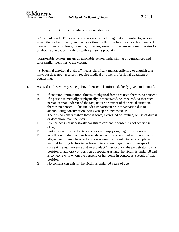

B. Suffer substantial emotional distress.

"Course of conduct" means two or more acts, including, but not limited to, acts in which the stalker directly, indirectly or through third parties, by any action, method, device or means, follows, monitors, observes, surveils, threatens or communicates to or about a person, or interferes with a person's property.

"Reasonable person" means a reasonable person under similar circumstances and with similar identities to the victim.

"Substantial emotional distress" means significant mental suffering or anguish that may, but does not necessarily require medical or other professional treatment or counseling.

- 4. As used in this Murray State policy, "consent" is informed, freely given and mutual.
	- A. If coercion, intimidation, threats or physical force are used there is no consent;
	- B. If a person is mentally or physically incapacitated, or impaired, so that such person cannot understand the fact, nature or extent of the sexual situation, there is no consent. This includes impairment or incapacitation due to alcohol, drug consumption, being asleep or unconscious;
	- C. There is no consent when there is force, expressed or implied, or use of duress or deception upon the victim;
	- D. Silence does not necessarily constitute consent if consent is not otherwise clear;
	- E. Past consent to sexual activities does not imply ongoing future consent;
	- F. Whether an individual has taken advantage of a position of influence over an alleged victim may be a factor in determining consent. As an example, and without limiting factors to be taken into account, regardless of the age of consent "sexual violence and misconduct" may occur if the perpetrator is in a position of authority or position of special trust and the victim is under 18 and is someone with whom the perpetrator has come in contact as a result of that position.
	- G. No consent can exist if the victim is under 16 years of age.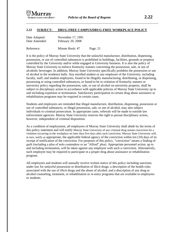

#### **2.22 SUBJECT: DRUG-FREE CAMPUS/DRUG-FREE WORKPLACE POLICY**

| Date Adopted: | November 17, 1991 |
|---------------|-------------------|
| Date Amended: | February 29, 2008 |

Reference: Minute Book: 47 Page: 21

It is the policy of Murray State University that the unlawful manufacture, distribution, dispensing, possession, or use of controlled substances is prohibited in buildings, facilities, grounds or property controlled by the University and/or while engaged in University business. It is also the policy of Murray State University to enforce Kentucky statutes concerning the possession, sale, or use of alcoholic beverages. In addition, Murray State University specifically prohibits the possession or use of alcohol in the residence halls. Any enrolled student or any employee of the University, including faculty, staff, and student employees, found to be illegally manufacturing, distributing, or dispensing, possessing or using controlled substances, or found to be in violation of Kentucky statutes or university policy regarding the possession, sale, or use of alcohol on university property, shall be subject to disciplinary action in accordance with applicable policies of Murray State University up to and including expulsion or termination. Satisfactory participation in certain drug abuse assistance or rehabilitation programs may be required in certain cases.

Students and employees are reminded that illegal manufacture, distribution, dispensing, possession or use of controlled substances, or illegal possession, sale, or use of alcohol, may also subject individuals to criminal prosecution. In appropriate cases, referrals will be made to outside law enforcement agencies. Murray State University reserves the right to pursue disciplinary action, however, independent of criminal disposition.

As a condition of employment, all employees of Murray State University shall abide by the terms of this policy statement and will notify Murray State University of any criminal drug statute conviction for a violation occurring in the workplace no later than five days after such conviction. Murray State University will, in turn, notify as appropriate, the applicable federal agency of the conviction within ten (10) days of its receipt of notification of the conviction. For purposes of this policy, "conviction" means a finding of guilt (including a plea of nolo contendere or an "Alford" plea). Appropriate personnel action, up to and including termination, will be taken against any employee with such a conviction. Alternatively, such employee may be required to participate in a proper drug abuse assistance or rehabilitation program.

All employees and students will annually receive written notice of this policy including sanctions under law for unlawful possession or distribution of illicit drugs; a description of the health risks associated with the use of illicit drugs and the abuse of alcohol; and a description of any drug or alcohol counseling, treatment, or rehabilitation or re-entry programs that are available to employees or students.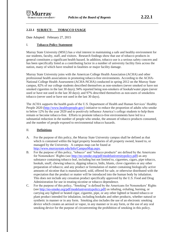

### **2.22.1 SUBJECT: TOBACCO USAGE**

Date Adopted: February 27, 2015

#### I. **Tobacco Policy Statement**

Murray State University (MSU) has a vital interest in maintaining a safe and healthy environment for our students, faculty, staff, and visitors. Research findings show that use of tobacco products in general constitutes a significant health hazard. In addition, tobacco use is a serious safety concern and has been specifically listed as a contributing factor in a number of university facility fires across the nation, many of which have resulted in fatalities or major facility damage.

Murray State University joins with the American College Health Association (ACHA) and other professional health associations in promoting tobacco-free environments. According to the ACHA-National College Health Assessment (ACHA-NCHA) conducted in spring 2012 on the Murray State campus, 82% of our college students described themselves as non-smokers (never smoked or have not smoked cigarettes in the last 30 days); 94% reported being non-smokers of hookah/water pipes (never used or have not used in the last 30 days); and 97% described themselves as non-users of smokeless tobacco (never used or have not used in the last 30 days).

The ACHA supports the health goals of the U.S. Department of Health and Human Services' Healthy People 2020 [\(http://www.healthypeople.gov/\)](http://www.healthypeople.gov/) initiative to reduce the proportion of adults who smoke to below 12% by the year 2020 and to positively influence America's college students to help them remain or become tobacco-free. Efforts to promote tobacco-free environments have led to a substantial reduction in the number of people who smoke, the amount of tobacco products consumed, and the number of people exposed to environmental tobacco hazards.

#### II. **Definitions**

- A. For the purpose of this policy, the Murray State University campus shall be defined as that which is contained within the legal property boundaries of all property owned, leased to, or managed by the University. A campus map can be found at [http://www.murraystate.edu/Info/CampusMap.aspx.](http://www.murraystate.edu/Info/CampusMap.aspx)
- B. For the purpose of this policy, "tobacco" and "tobacco products" are defined by the Americans for Nonsmokers' Rights (see [http://no-smoke.org/pdf/modeluniversitypolicy.pdf\)](http://no-smoke.org/pdf/modeluniversitypolicy.pdf) as any substance containing tobacco leaf, including but not limited to, cigarettes, cigars, pipe tobacco, hookah, snuff, chewing tobacco, dipping tobacco, bidis, blunts, clove cigarettes or any other preparation of tobacco; and any product or formulation of matter containing biologically active amounts of nicotine that is manufactured, sold, offered for sale, or otherwise distributed with the expectation that the product or matter will be introduced into the human body by inhalation. This does not include any cessation product specifically approved by the U.S. Food and Drug Administration for use in treating nicotine or tobacco dependence.
- C. For the purpose of this policy, "Smoking" is defined by the Americans for Nonsmokers' Rights (see [http://no-smoke.org/pdf/modeluniversitypolicy.pdf\)](http://no-smoke.org/pdf/modeluniversitypolicy.pdf) as inhaling, exhaling, burning, or carrying any lighted or heated cigar, cigarette, pipe, or any other lighted or heated tobacco or plant product intended for inhalation, including hookahs and other products, whether natural or synthetic in manner or in any form. Smoking also includes the use of an electronic smoking device which creates an aerosol or vapor, in any manner or in any form, or the use of any oral smoking device for the purpose of circumventing the prohibition of smoking in this policy.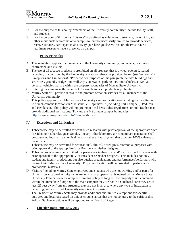- D. For the purpose of this policy, "members of the University community" include faculty, staff, and students.
- E. For the purpose of this policy, "visitors" are defined as volunteers, customers, contractors, and other individuals who come onto campus to, but not necessarily limited to, provide services, receive services, participate in an activity, purchase goods/services, or otherwise have a legitimate reason to have a presence on campus.

### III. **Policy Principles**

- A. This regulation applies to all members of the University community, volunteers, customers, contractors, and visitors.
- B. The use of all tobacco products is prohibited on all property that is owned, operated, leased, occupied, or controlled by the University, except as otherwise provided below (see Section IV - Exceptions and Limitations). "Property" for purposes of this paragraph includes buildings and structures, grounds, bridges and walkways, sidewalks, parking lots, and vehicles, as well as personal vehicles that are within the property boundaries of Murray State University.
- C. Littering the campus with remains of disposable tobacco products is prohibited.
- D. Murray State will provide access to and promote cessation services for all members of the University community.
- E. This policy applies to all Murray State University campus locations—including, but not limited, to branch campus locations in Madisonville, Hopkinsville (including Fort Campbell), Paducah, and Henderson. This policy will not pre-empt local laws, rules, regulations, or policies that may provide additional restrictions. To view the MSU main campus boundaries: [http://www.murraystate.edu/Info/CampusMap.aspx.](http://www.murraystate.edu/Info/CampusMap.aspx)

### IV. **Exceptions and Limitations**

- A. Tobacco use may be permitted for controlled research with prior approval of the appropriate Vice President or his/her designee. Smoke, like any other laboratory air contaminant generated, shall be controlled locally in a chemical hood or other exhaust system that provides 100% exhaust to the outside.
- B. Tobacco use may be permitted for educational, clinical, or religious ceremonial purposes with prior approval of the appropriate Vice President or his/her designee.
- C. Tobacco products may be permitted for performers in theatrical and/or artistic performances with prior approval of the appropriate Vice President or his/her designee. This includes not only student and faculty productions but also outside organizations and performances/performers who contract with Murray State University. Proper notification will be provided in performance promotional materials.
- D. Visitors (including Murray State employees and students who are not working and/or part of a University-sanctioned activity) who are legally on property that is owned by the Murray State University Foundation are exempted from this policy as long as: the property is not contained within the immediate footprint of the main campus; they are not in an enclosed area; they are at least 25 feet away from any structure; they are not in an area where any type of instruction is occurring; and an official University event is not occurring.
- E. The President of Murray State may provide additional and limited exemptions for specific purposes and locations based on unique circumstances that are not contrary to the spirit of this Policy. Such exemptions will be reported to the Board of Regents.

### V. **Effective Date: August 5, 2015**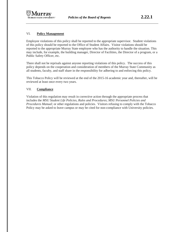### VI. **Policy Management**

Employee violations of this policy shall be reported to the appropriate supervisor. Student violations of this policy should be reported to the Office of Student Affairs. Visitor violations should be reported to the appropriate Murray State employee who has the authority to handle the situation. This may include, for example, the building manager, Director of Facilities, the Director of a program, or a Public Safety Officer, etc.

There shall not be reprisals against anyone reporting violations of this policy. The success of this policy depends on the cooperation and consideration of members of the Murray State Community as all students, faculty, and staff share in the responsibility for adhering to and enforcing this policy.

This Tobacco Policy will be reviewed at the end of the 2015-16 academic year and, thereafter, will be reviewed at least once every two years.

### VII. **Compliance**

Violation of this regulation may result in corrective action through the appropriate process that includes the *MSU Student Life Policies, Rules and Procedures*; *MSU Personnel Policies and Procedures Manual*; or other regulations and policies. Visitors refusing to comply with the Tobacco Policy may be asked to leave campus or may be cited for non-compliance with University policies.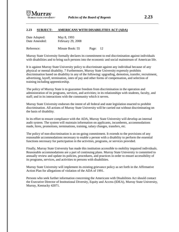

#### **2.23 SUBJECT: AMERICANS WITH DISABILITIES ACT (ADA)**

| Date Adopted: | May 8, 1993       |       |      |
|---------------|-------------------|-------|------|
| Date Amended: | February 29, 2008 |       |      |
| Reference:    | Minute Book: 55   | Page: | - 12 |

Murray State University formally declares its commitment to end discrimination against individuals with disabilities and to bring such persons into the economic and social mainstream of American life.

It is against Murray State University policy to discriminate against any individual because of any physical or mental disability. 7 Furthermore, Murray State University expressly prohibits discrimination based on disability in any of the following: upgrading, demotion, transfer, recruitment, advertising, layoff, termination, rates of pay and other forms of compensation, and selection of training including apprenticeship.

The policy of Murray State is to guarantee freedom from discrimination in the operation and administration of its programs, services, and activities; in its relationships with students, faculty, and staff; and in its interactions with the community which it serves.

Murray State University endorses the intent of all federal and state legislation enacted to prohibit discrimination. All actions of Murray State University will be carried out without discriminating on the basis of disability.

In its effort to ensure compliance with the ADA, Murray State University will develop an internal audit system. The system will maintain information on applicants, incumbents, accommodations made, hires, promotions, terminations, training, salary changes, transfers, etc.

The policy of non-discrimination is an on-going commitment. It extends to the provisions of any reasonable accommodations necessary to enable a person with a disability to perform the essential functions necessary for participation in the activities, programs, or services provided.

Finally, Murray State University has made this institution accessible to mobility impaired individuals. Reasonable accommodations are a part of continuing plans. Murray State University is committed to annually review and update its policies, procedures, and practices in order to ensure accessibility of its programs, services, and activities to persons with disabilities.

Murray State University will implement its existing grievance policy as set forth in the Affirmative Action Plan for allegations of violation of the ADA of 1991.

Persons who seek further information concerning the Americans with Disabilities Act should contact the Executive Director of Institutional Diversity, Equity and Access (IDEA), Murray State University, Murray, Kentucky 42071.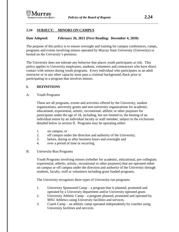# **2.24 SUBJECT: MINORS ON CAMPUS**

## **Date Adopted: February 26, 2021 (First Reading: December 4, 2020)**

The purpose of this policy is to ensure oversight and training for campus conferences, camps, programs and events involving minors operated by Murray State University (University) or hosted on the University's premises.

The University does not tolerate any behavior that places youth participants at risk. This policy applies to University employees, students, volunteers and contractors who have direct contact with minors during youth programs. Every individual who participates as an adult instructor or in any other capacity must pass a criminal background check prior to participating in a program that involves minors.

## **I. DEFINITIONS**

A. Youth Programs

These are all programs, events and activities offered by the University, student organizations, university grants and non-university organizations for academic, educational, experiential, artistic, recreational, athletic or other purposes for participants under the age of 18, including, but not limited to, the hosting of an individual minor by an individual faculty or staff member, subject to the exclusions detailed below in section II. Programs may be operating either:

- 1. on campus; or
- 2. off campus under the direction and authority of the University;
- 3. before, during or after business hours and overnight and
- 4. over a period of time or recurring.

### B. University-Run Programs

Youth Programs involving minors (whether for academic, educational, pre-collegiate, experiential, athletic, artistic, recreational or other purposes) that are operated either on campus or off campus under the direction and authority of the University through students, faculty, staff or volunteers including grant funded programs.

The University recognizes three types of University-run programs:

- 1. University Sponsored Camp a program that is planned, promoted and operated by a University department and/or University operated grant.
- 2. University Athletic Camp a program planned, promoted and operated by MSU Athletics using University facilities and services.
- 3. Coach Camp an athletic camp operated independently by coaches using University facilities and services.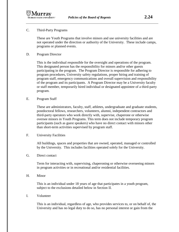### C. Third-Party Programs

These are Youth Programs that involve minors and use university facilities and are not operated under the direction or authority of the University. These include camps, programs or planned events.

D. Program Director

This is the individual responsible for the oversight and operations of the program. This designated person has the responsibility for minors and/or other guests participating in the program. The Program Director is responsible for adhering to program procedures, University safety regulations, proper hiring and training of program staff, emergency communications and overall supervision and responsibility of the program and its participants. A Program Director may be a University faculty or staff member, temporarily hired individual or designated appointee of a third-party program.

E. Program Staff

These are administrators, faculty, staff, athletes, undergraduate and graduate students, postdoctoral fellows, researchers, volunteers, alumni, independent contractors and third-party operators who work directly with, supervise, chaperone or otherwise oversee minors in Youth Programs. This term does not include temporary program participants (such as guest speakers) who have no direct contact with minors other than short-term activities supervised by program staff.

F. University Facilities

All buildings, spaces and properties that are owned, operated, managed or controlled by the University. This includes facilities operated solely for the University.

G. Direct contact

Term for interacting with, supervising, chaperoning or otherwise overseeing minors in program activities or in recreational and/or residential facilities.

H. Minor

This is an individual under 18 years of age that participates in a youth program, subject to the exclusions detailed below in Section II.

I. Volunteer

This is an individual, regardless of age, who provides services to, or on behalf of, the University and has no legal duty to do so, has no personal interest or gain from the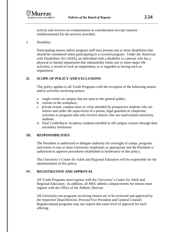activity and receives no compensation or consideration (except expense reimbursement) for the services provided.

J. Disability

Participating minors and/or program staff may present one or more disabilities that should be considered when participating in a covered program. Under the American with Disabilities Act (ADA), an individual with a disability is a person who has a physical or mental impairment that substantially limits one or more major life activities; a record of such an impairment; or is regarded as having such an impairment.

## **II. SCOPE OF POLICY AND EXCLUSIONS**

This policy applies to all Youth Programs with the exception of the following minors and/or activities involving minors:

- a. single events on campus that are open to the general public;
- b. visitors in the workplace;
- c. private events, campus tours or visits attended by prospective students who are minors and under the supervision of a parent, legal guardian or chaperone; activities or programs that only involve minors who are matriculated university students.
- d. Dual Credit/Racer Academy students enrolled in off-campus courses through their secondary institution.

## **III. RESPONSIBILITIES**

The President is authorized to delegate authority for oversight of camps, programs and events to one or more University employees as appropriate and the President is authorized to approve procedures established in furtherance of this policy.

The University's Center for Adult and Regional Education will be responsible for the administration of this policy.

## **IV. REGISTRATION AND APPROVAL**

All Youth Programs must register with the University's Center for Adult and Regional Education. In addition, all MSU athletic campus/events for minors must register with the Office of the Athletic Director.

All University-run programs involving minors are to be reviewed and approved by the respective Dean/Director, Provost/Vice President and General Counsel. Regular/annual programs may not require this same level of approval for each offering.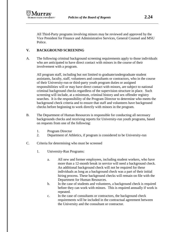All Third-Party programs involving minors may be reviewed and approved by the Vice President for Finance and Administrative Services, General Counsel and MSU Police.

## **V. BACKGROUND SCREENING**

A. The following criminal background screening requirements apply to those individuals who are anticipated to have direct contact with minors in the course of their involvement with a program.

All program staff, including but not limited to graduate/undergraduate student assistants, faculty, staff, volunteers and consultants or contractors, who in the course of their University-run or third-party youth program duties or assigned responsibilities will or may have direct contact with minors, are subject to national criminal background checks regardless of the supervision structure in place. Such screening will include, at a minimum, criminal history and sex offender registry searches. It is the responsibility of the Program Director to determine who meets the background check criteria and to ensure that staff and volunteers have background checks before beginning to work directly with minors in the program.

- B. The Department of Human Resources is responsible for conducting all necessary backgrounds checks and receiving reports for University-run youth programs, based on requests from one of the following:
	- 1. Program Director
	- 2. Department of Athletics, if program is considered to be University-run
- C. Criteria for determining who must be screened
	- 1. University-Run Programs:
		- a. All new and former employees, including student workers, who have more than a 12-month break in service will need a background check. An additional background check will not be required for these individuals as long as a background check was a part of their initial hiring process. These background checks will remain on file with the Department for Human Resources.
		- b. In the case of students and volunteers, a background check is required before they can work with minors. This is required annually if work is repeated.
		- c. In the case of consultants or contractors, the background check requirements will be included in the contractual agreement between the University and the consultant or contractor.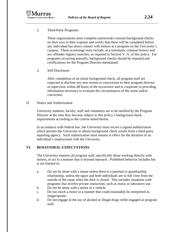

2. Third-Party Programs:

These organizations must complete nationwide criminal background checks on their own at their expense and certify that these will be completed before any individual has direct contact with minors at a program on the University's campus. These screenings must include, at a minimum, criminal history and sex offender registry searches, as required in Section V. A. of this policy. For programs occurring annually, background checks should be repeated and certifications for the Program Director maintained.

3. Self-Disclosure:

After completion of an initial background check, all program staff are expected to disclose any new arrests or convictions to their program director or supervisor within 48 hours of the occurrence and to cooperate in providing information necessary to evaluate the circumstances of the arrest and/or conviction.

D. Notice and Authorization

University students, faculty, staff and volunteers are to be notified by the Program Director at the time they become subject to this policy's background check requirements according to the criteria stated herein.

In accordance with federal law, the University must secure a signed authorization which permits the University to obtain background check results from a third-party reporting agency. Such authorization must remain in effect for the duration of an individual's employment with the University.

## **VI. BEHAVIORAL EXPECTATIONS**

The University requires all program staff, specifically those working directly with minors, to act in a manner that is beyond reproach. Prohibited behavior includes but is not limited to:

- a. Do not be alone with a minor unless there is a parental or guardianship relationship, unless the space and both individuals are in full view from the outside of the room when the door is closed. This includes situations with programs that involve private instruction, such as music or laboratory use.
- b. Do not be alone with a minor in a vehicle.
- c. Do not touch a minor in a manner that could reasonably be interpreted as inappropriate.
- d. Do not engage in the use of alcohol or illegal drugs while engaged as program staff.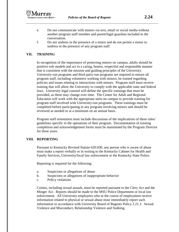- e. Do not communicate with minors via text, email or social media without another program staff member and parent/legal guardian included in the conversation.
- f. Do not undress in the presence of a minor and do not permit a minor to undress in the presence of any program staff.

## **VII. TRAINING**

In recognition of the importance of protecting minors on campus, adults should be positive role models and act in a caring, honest, respectful and responsible manner that is consistent with the mission and guiding principles of the University. University-run programs and third party-run programs are required to ensure all program staff, including volunteers working with minors, be trained regarding policies and issues relating to interactions with minors. Program staff must receive training that will allow the University to comply with the applicable state and federal laws. University legal counsel will define the specific trainings that must be provided, as these may change over time. The Center for Adult and Regional Education will work with the appropriate units on campus to provide training for program staff involved with University-run programs. These trainings must be completed before participating in any program involving minors and should be reviewed as needed or at a minimum on an annual basis.

Program staff orientation must include discussions of the implications of these rules/ guidelines specific to the operations of their program. Documentation of training completion and acknowledgement forms must be maintained by the Program Director for three years.

### **VIII. REPORTING**

Pursuant to Kentucky Revised Statute 620.030, any person who is aware of abuse must make a report verbally or in writing to the Kentucky Cabinet for Health and Family Services, University/local law enforcement or the Kentucky State Police.

Reporting is required for the following:

- a. Suspicions or allegations of abuse
- b. Suspicions or allegations of inappropriate behavior
- c. Policy violations

Crimes, including sexual assault, must be reported pursuant to the Clery Act and the Minger Act. Reports should be made to the MSU Police Department or local law enforcement. All University employees who in the course of employment receive information related to physical or sexual abuse must immediately report such information in accordance with University Board of Regents Policy 2.21.1: Sexual Violence and Misconduct, Relationship Violence and Stalking.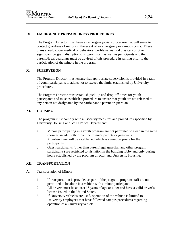### **IX. EMERGENCY PREPAREDNESS PROCEDURES**

The Program Director must have an emergency/crisis procedure that will serve to contact guardians of minors in the event of an emergency or campus crisis. These plans should cover medical or behavioral problems, natural disasters or other significant program disruptions. Program staff as well as participants and their parents/legal guardians must be advised of this procedure in writing prior to the participation of the minors in the program.

## **X. SUPERVISION**

The Program Director must ensure that appropriate supervision is provided in a ratio of youth participants to adults not to exceed the limits established by University procedures.

The Program Director must establish pick-up and drop-off times for youth participants and must establish a procedure to ensure that youth are not released to any person not designated by the participant's parent or guardian.

## **XI. HOUSING**

The program must comply with all security measures and procedures specified by University Housing and MSU Police Department:

- a. Minors participating in a youth program are not permitted to sleep in the same room as an adult other than the minor's parents or guardians.
- b. A curfew time will be established which is age-appropriate for the participants.
- c. Guest participants (other than parent/legal guardian and other program participants) are restricted to visitation in the building lobby and only during hours established by the program director and University Housing.

## **XII. TRANSPORTATION**

- A. Transportation of Minors
	- 1. If transportation is provided as part of the program, program staff are not permitted to be alone in a vehicle with a minor participant.
	- 2. All drivers must be at least 18 years of age or older and have a valid driver's license issued in the United States.
	- 3. If University vehicles are used, operation of the vehicle is limited to University employees that have followed campus procedures regarding operation of a University vehicle.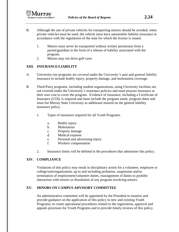- B. Although the use of private vehicles for transporting minors should be avoided, when private vehicles must be used, the vehicle must have automobile liability insurance in accordance with the regulations of the state for which the license is issued.
	- 1. Minors must never be transported without written permission from a parent/guardian in the form of a release of liability associated with the program.
	- 2. Minors may not drive golf carts.

## **XIII. INSURANCE/LIABILITY**

- A. University-run programs are covered under the University's auto and general liability insurance to include bodily injury, property damage, and molestation coverage.
- B. Third-Party programs, including student organizations, using University facilities are not covered under the University's insurance policies and must procure insurance at their own cost to cover the program. Evidence of insurance, including a Certificate of Insurance (COI), is required and must include the program name, program dates and must list Murray State University as additional insured on the general liability insurance policy.
	- 1. Types of insurance required for all Youth Programs.
		- a. Bodily injury
		- b. Molestation
		- c. Property damage
		- d. Medical expense
		- e. Personal and advertising injury
		- f. Workers compensation
	- 2. Insurance limits will be defined in the procedures that administer this policy.

# **XIV. COMPLIANCE**

Violations of this policy may result in disciplinary action for a volunteer, employee or college/unit/organization, up to and including probation, suspension and/or termination of employment/volunteer duties, reassignment of duties to prohibit interaction with minors or dissolution of any program involving minors.

# **XV. MINORS ON CAMPUS ADVISORY COMMITTEE**

An administrative committee will be appointed by the President to monitor and provide guidance on the application of this policy to new and existing Youth Programs; to create operational procedures related to the registration, approval and appeals processes for Youth Programs and to provide timely reviews of this policy.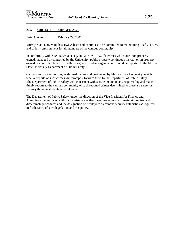### **2.25 SUBJECT: MINGER ACT**

Date Adopted: February 29, 2008

Murray State University has always been and continues to be committed to maintaining a safe, secure, and orderly environment for all members of the campus community.

In conformity with KRS 164.948 et seq. and 20 USC 1092 (f), crimes which occur on property owned, managed or controlled by the University, public property contiguous thereto, or on property owned or controlled by an officially recognized student organization should be reported to the Murray State University Department of Public Safety.

Campus security authorities, as defined by law and designated by Murray State University, which receive reports of such crimes will promptly forward them to the Department of Public Safety. The Department of Public Safety will, consistent with statute, maintain any required log and make timely reports to the campus community of such reported crimes determined to present a safety or security threat to students or employees.

The Department of Public Safety, under the direction of the Vice President for Finance and Administrative Services, with such assistance as they deem necessary, will maintain, revise, and disseminate procedures and the designation of employees as campus security authorities as required in furtherance of such legislation and this policy.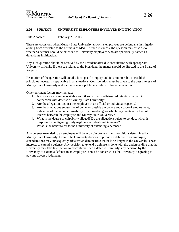#### **2.26 SUBJECT: UNIVERSITY EMPLOYEES INVOLVED IN LITIGATION**

Date Adopted: February 29, 2008

There are occasions when Murray State University and/or its employees are defendants in litigation arising from or related to the business of MSU. In such instances, the question may arise as to whether a defense should be extended to University employees who are specifically named as defendants in litigation.

Any such question should be resolved by the President after due consultation with appropriate University officials. If the issue relates to the President, the matter should be directed to the Board of Regents.

Resolution of the question will entail a fact-specific inquiry and it is not possible to establish principles necessarily applicable in all situations. Consideration must be given to the best interests of Murray State University and its mission as a public institution of higher education.

Other pertinent factors may include:

- 1. Is insurance coverage available and, if so, will any self-insured retention be paid in connection with defense of Murray State University?
- 2. Are the allegations against the employee in an official or individual capacity?
- 3. Are the allegations suggestive of behavior outside the course and scope of employment, indicative of the genuine possibility of wrong-doing, or which may create a conflict of interest between the employee and Murray State University?
- 4. What is the degree of culpability alleged? Do the allegations relate to conduct which is purportedly negligent, grossly negligent or intentional in nature?
- 5. What is the benefit/cost to the University of extending a defense?

Any defense extended to an employee will be according to terms and conditions determined by Murray State University. Even if the University decides to provide a defense to an employee, considerations may subsequently arise which demonstrate that it is no longer in the University's best interests to extend a defense. Any decision to extend a defense is done with the understanding that the University may take later action to discontinue such a defense. Similarly, any decision by the University to extend a defense to an employee cannot be construed as the University's agreeing to pay any adverse judgment.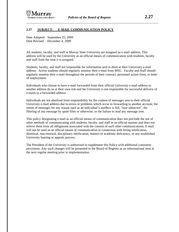

#### **2.27 SUBJECT: E-MAIL COMMUNICATION POLICY**

Date Adopted: September 25, 2009 Date Revised: December 4, 2009

All students, faculty, and staff at Murray State University are assigned an e-mail address. This address will be used by the University as an official means of communication with students, faculty and staff from the time it is assigned.

Students, faculty, and staff are responsible for information sent to them at their University e-mail address. Active students should regularly monitor their e-mail from MSU. Faculty and Staff should regularly monitor their e-mail throughout the periods of their contract, personnel action form, or letter of employment.

Individuals who choose to have e-mail forwarded from their official University e-mail address to another address do so at their own risk and the University is not responsible for successful delivery of e-mails to a forwarded address.

Individuals are not absolved from responsibility for the content of messages sent to their official University e-mail address due to errors or problems which occur in forwarding to another account; the return of messages for any reason such as an individual's mailbox is full, "user unknown", the filtering of any message by spam filter or otherwise; or the failure to read any message sent.

This policy designating e-mail as an official means of communication does not preclude the use of other methods of communicating with students, faculty, and staff in an official manner and does not relieve them from all obligations associated with the content of such other communications. E-mail will not be used as an official means of communication in connection with hiring notification, dismissal, non-renewal, disciplinary notification, matters of academic deficiency, or any established University hearing or appeals process.

The President of the University is authorized to supplement this Policy with additional consistent provisions. Any such changes will be presented to the Board of Regents as an informational item at the next regular meeting prior to implementation.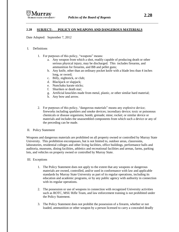#### **2.28 SUBJECT: POLICY ON WEAPONS AND DANGEROUS MATERIALS**

Date Adopted: September 7, 2012

#### I. Definitions

- 1. For purposes of this policy, "weapons" means:
	- a. Any weapon from which a shot, readily capable of producing death or other serious physical injury, may be discharged. This includes firearms, and ammunition for firearms, and BB and pellet guns;
	- b. Any knife, other than an ordinary pocket knife with a blade less than 4 inches long, or sword;
	- c. Billy, nightstick, or club;
	- d. Blackjack or slapjack;
	- e. Nunchaku karate sticks;
	- f. Shuriken or death star;
	- g. Artificial knuckles made from metal, plastic, or other similar hard material;
	- h. Any bow and arrow.
- 2. For purposes of this policy, "dangerous materials" means any explosive device; fireworks including sparklers and smoke devices; incendiary device; toxic or poisonous chemicals or disease organisms; bomb; grenade; mine; rocket; or similar device or materials and includes the unassembled components from which such a device or any of the preceding can be made.

#### II. Policy Statement

Weapons and dangerous materials are prohibited on all property owned or controlled by Murray State University. This prohibition encompasses, but is not limited to, outdoor areas, classrooms, laboratories, residential colleges and other living facilities, office buildings, performance halls and auditoria, museums, dining facilities, athletics and recreational facilities and arenas, farms, parking lots, and vehicles on property owned or controlled by Murray State.

#### III. Exceptions

- 1. The Policy Statement does not apply to the extent that any weapons or dangerous materials are owned, controlled, and/or used in conformance with law and applicable standards by Murray State University as part of its regular operations, including its education and academic programs, or by any public agency with authority in connection with its regular operations.
- 2. The possession or use of weapons in connection with recognized University activities such as ROTC, MSU Rifle Team, and law enforcement training is not prohibited under the Policy Statement.
- 3. The Policy Statement does not prohibit the possession of a firearm, whether or not loaded, ammunition or other weapon by a person licensed to carry a concealed deadly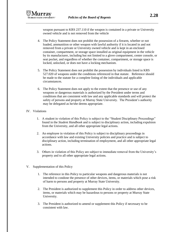

weapon pursuant to KRS 237.110 if the weapon is contained in a private or University owned vehicle and is not removed from the vehicle

- 4. The Policy Statement does not prohibit the possession of a firearm, whether or not loaded, ammunition or other weapon with lawful authority if it is located in and not removed from a private or University owned vehicle and is kept in an enclosed container, compartment, or storage space installed as original equipment in the vehicle by its manufacturer, including but not limited to a glove compartment, center console, or seat pocket, and regardless of whether the container, compartment, or storage space is locked, unlocked, or does not have a locking mechanism.
- 5. The Policy Statement does not prohibit the possession by individuals listed in KRS 527.020 of weapons under the conditions referenced in that statute. Reference should be made to the statute for a complete listing of the individuals and applicable circumstances.
- 6. The Policy Statement does not apply to the extent that the presence or use of any weapons or dangerous materials is authorized by the President under terms and conditions that are consistent with law and any applicable standards and will protect the safety of persons and property at Murray State University. The President's authority may be delegated as he/she deems appropriate.

#### IV. Violations

- 1. A student in violation of this Policy is subject to the "Student Disciplinary Proceedings" found in the *Student Handbook* and is subject to disciplinary action, including expulsion from the University, and all other appropriate legal actions.
- 2. An employee in violation of this Policy is subject to disciplinary proceedings in accordance with law and existing University policies and practice and is subject to disciplinary action, including termination of employment, and all other appropriate legal actions.
- 3. Others in violation of this Policy are subject to immediate removal from the University's property and to all other appropriate legal actions*.*
- V. Supplementation of this Policy
	- 1. The reference in this Policy to particular weapons and dangerous materials is not intended to condone the presence of other devices, items, or materials which pose a risk of harm to persons and property at Murray State University.
	- 2. The President is authorized to supplement this Policy in order to address other devices, items, or materials which may be hazardous to persons or property at Murray State University.
	- 3. The President is authorized to amend or supplement this Policy if necessary to be consistent with law.